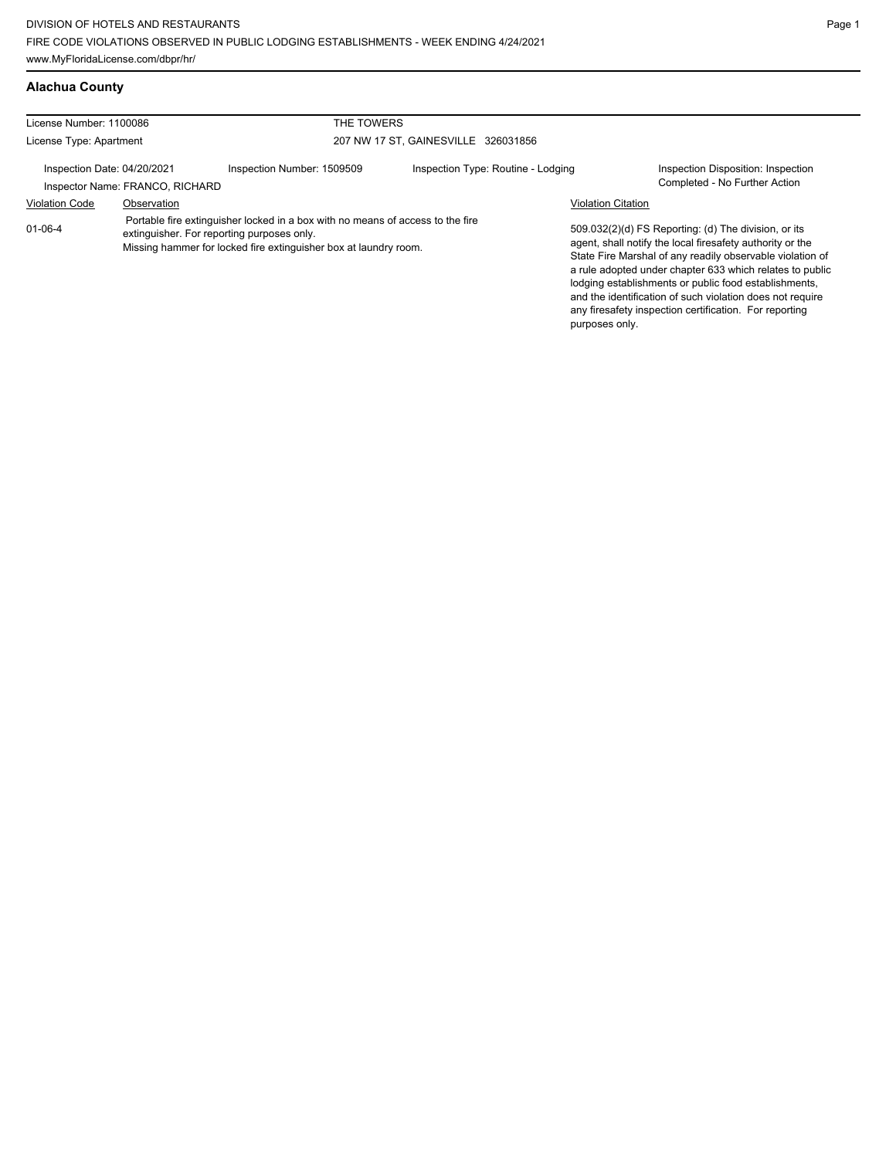| License Number: 1100086                                        |                                                                                                                                                                                                  | THE TOWERS                 |                                     |                           |                                                                                                                                                                                                                                                                                                                                                                                                                            |
|----------------------------------------------------------------|--------------------------------------------------------------------------------------------------------------------------------------------------------------------------------------------------|----------------------------|-------------------------------------|---------------------------|----------------------------------------------------------------------------------------------------------------------------------------------------------------------------------------------------------------------------------------------------------------------------------------------------------------------------------------------------------------------------------------------------------------------------|
| License Type: Apartment                                        |                                                                                                                                                                                                  |                            | 207 NW 17 ST. GAINESVILLE 326031856 |                           |                                                                                                                                                                                                                                                                                                                                                                                                                            |
| Inspection Date: 04/20/2021<br>Inspector Name: FRANCO, RICHARD |                                                                                                                                                                                                  | Inspection Number: 1509509 | Inspection Type: Routine - Lodging  |                           | Inspection Disposition: Inspection<br>Completed - No Further Action                                                                                                                                                                                                                                                                                                                                                        |
| <b>Violation Code</b>                                          | Observation                                                                                                                                                                                      |                            |                                     | <b>Violation Citation</b> |                                                                                                                                                                                                                                                                                                                                                                                                                            |
| $01 - 06 - 4$                                                  | Portable fire extinguisher locked in a box with no means of access to the fire<br>extinguisher. For reporting purposes only.<br>Missing hammer for locked fire extinguisher box at laundry room. |                            |                                     | purposes only.            | 509.032(2)(d) FS Reporting: (d) The division, or its<br>agent, shall notify the local firesafety authority or the<br>State Fire Marshal of any readily observable violation of<br>a rule adopted under chapter 633 which relates to public<br>lodging establishments or public food establishments,<br>and the identification of such violation does not require<br>any firesafety inspection certification. For reporting |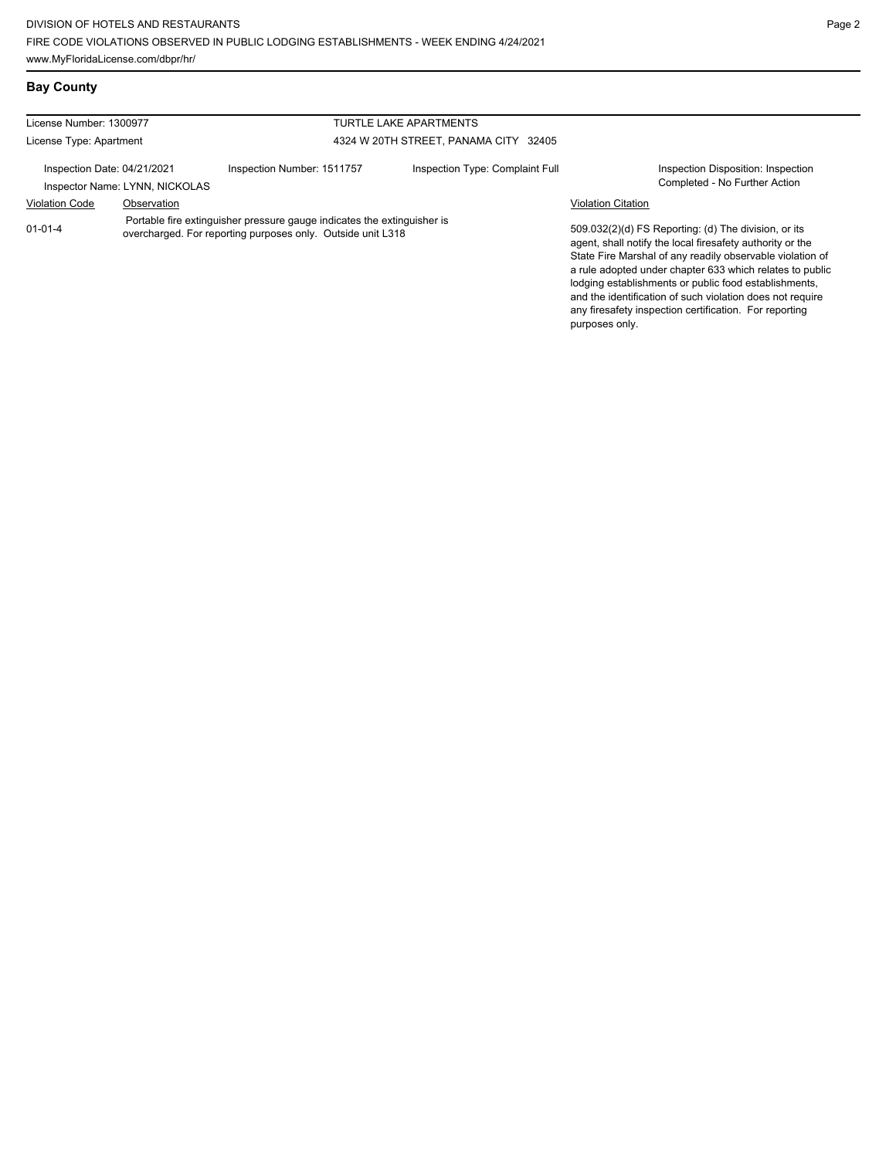**Bay County**

any firesafety inspection certification. For reporting

| License Number: 1300977                                                                                                                                 |                                |                            | <b>TURTLE LAKE APARTMENTS</b>                                                                                                                                                                                                                                                                                                                                    |                                                                     |  |
|---------------------------------------------------------------------------------------------------------------------------------------------------------|--------------------------------|----------------------------|------------------------------------------------------------------------------------------------------------------------------------------------------------------------------------------------------------------------------------------------------------------------------------------------------------------------------------------------------------------|---------------------------------------------------------------------|--|
| License Type: Apartment                                                                                                                                 |                                |                            | 4324 W 20TH STREET, PANAMA CITY 32405                                                                                                                                                                                                                                                                                                                            |                                                                     |  |
| Inspection Date: 04/21/2021                                                                                                                             | Inspector Name: LYNN, NICKOLAS | Inspection Number: 1511757 | Inspection Type: Complaint Full                                                                                                                                                                                                                                                                                                                                  | Inspection Disposition: Inspection<br>Completed - No Further Action |  |
| <b>Violation Code</b>                                                                                                                                   | Observation                    |                            |                                                                                                                                                                                                                                                                                                                                                                  | <b>Violation Citation</b>                                           |  |
| Portable fire extinguisher pressure gauge indicates the extinguisher is<br>$01 - 01 - 4$<br>overcharged. For reporting purposes only. Outside unit L318 |                                |                            | 509.032(2)(d) FS Reporting: (d) The division, or its<br>agent, shall notify the local firesafety authority or the<br>State Fire Marshal of any readily observable violation of<br>a rule adopted under chapter 633 which relates to public<br>lodging establishments or public food establishments,<br>and the identification of such violation does not require |                                                                     |  |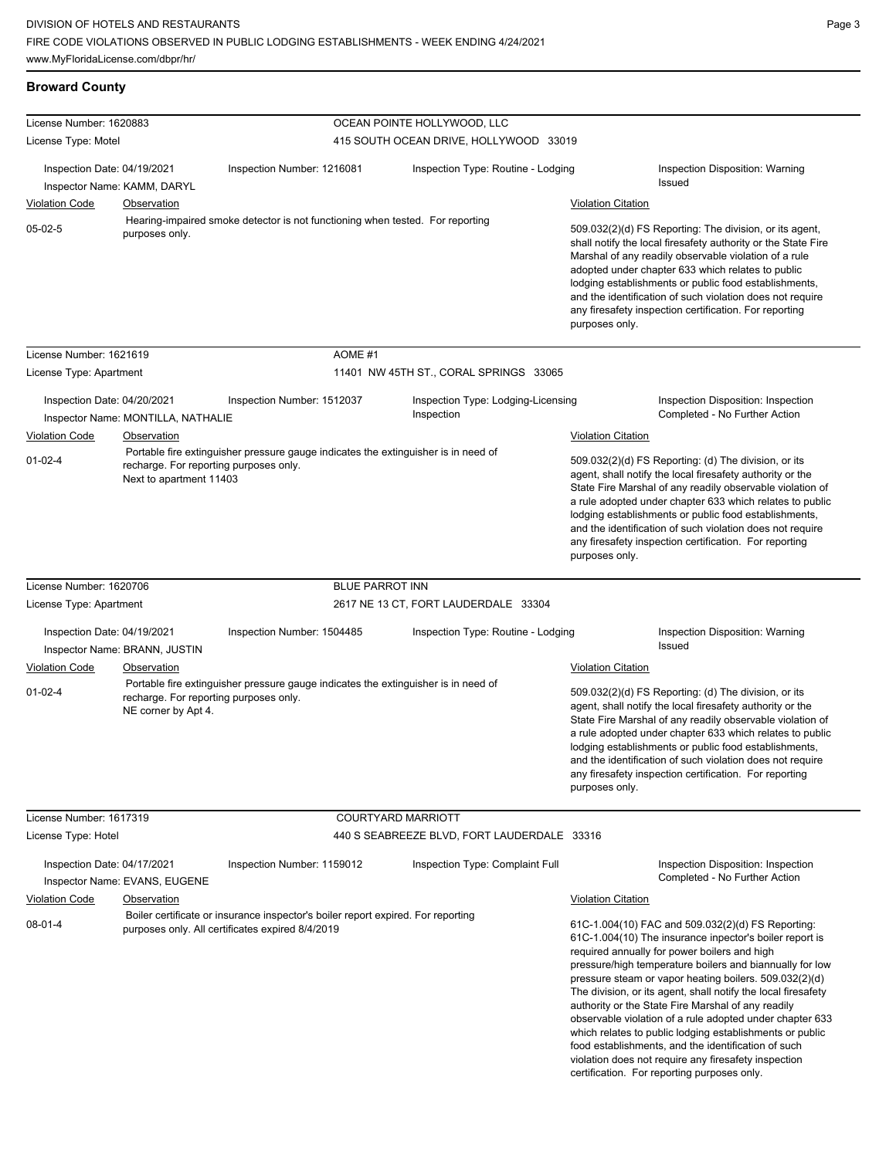| <b>Broward County</b> |  |
|-----------------------|--|
|                       |  |

| License Number: 1620883                              |                                                                   |                                                                                                                                      |                        | OCEAN POINTE HOLLYWOOD, LLC                      |                                             |                                                                                                                                                                                                                                                                                                                                                                                                                                                                                                                                                                                                                                                  |
|------------------------------------------------------|-------------------------------------------------------------------|--------------------------------------------------------------------------------------------------------------------------------------|------------------------|--------------------------------------------------|---------------------------------------------|--------------------------------------------------------------------------------------------------------------------------------------------------------------------------------------------------------------------------------------------------------------------------------------------------------------------------------------------------------------------------------------------------------------------------------------------------------------------------------------------------------------------------------------------------------------------------------------------------------------------------------------------------|
| License Type: Motel                                  |                                                                   |                                                                                                                                      |                        | 415 SOUTH OCEAN DRIVE, HOLLYWOOD 33019           |                                             |                                                                                                                                                                                                                                                                                                                                                                                                                                                                                                                                                                                                                                                  |
| Inspection Date: 04/19/2021                          |                                                                   | Inspection Number: 1216081                                                                                                           |                        | Inspection Type: Routine - Lodging               |                                             | Inspection Disposition: Warning<br>Issued                                                                                                                                                                                                                                                                                                                                                                                                                                                                                                                                                                                                        |
| <b>Violation Code</b>                                | Inspector Name: KAMM, DARYL<br><b>Observation</b>                 |                                                                                                                                      |                        |                                                  | <b>Violation Citation</b>                   |                                                                                                                                                                                                                                                                                                                                                                                                                                                                                                                                                                                                                                                  |
| $05-02-5$                                            | purposes only.                                                    | Hearing-impaired smoke detector is not functioning when tested. For reporting                                                        |                        |                                                  | purposes only.                              | 509.032(2)(d) FS Reporting: The division, or its agent,<br>shall notify the local firesafety authority or the State Fire<br>Marshal of any readily observable violation of a rule<br>adopted under chapter 633 which relates to public<br>lodging establishments or public food establishments,<br>and the identification of such violation does not require<br>any firesafety inspection certification. For reporting                                                                                                                                                                                                                           |
| License Number: 1621619                              |                                                                   |                                                                                                                                      | AOME #1                |                                                  |                                             |                                                                                                                                                                                                                                                                                                                                                                                                                                                                                                                                                                                                                                                  |
| License Type: Apartment                              |                                                                   |                                                                                                                                      |                        | 11401 NW 45TH ST., CORAL SPRINGS 33065           |                                             |                                                                                                                                                                                                                                                                                                                                                                                                                                                                                                                                                                                                                                                  |
| Inspection Date: 04/20/2021                          | Inspector Name: MONTILLA, NATHALIE                                | Inspection Number: 1512037                                                                                                           |                        | Inspection Type: Lodging-Licensing<br>Inspection |                                             | Inspection Disposition: Inspection<br>Completed - No Further Action                                                                                                                                                                                                                                                                                                                                                                                                                                                                                                                                                                              |
| Violation Code                                       | Observation                                                       |                                                                                                                                      |                        |                                                  | <b>Violation Citation</b>                   |                                                                                                                                                                                                                                                                                                                                                                                                                                                                                                                                                                                                                                                  |
| $01 - 02 - 4$                                        | recharge. For reporting purposes only.<br>Next to apartment 11403 | Portable fire extinguisher pressure gauge indicates the extinguisher is in need of                                                   |                        |                                                  | purposes only.                              | 509.032(2)(d) FS Reporting: (d) The division, or its<br>agent, shall notify the local firesafety authority or the<br>State Fire Marshal of any readily observable violation of<br>a rule adopted under chapter 633 which relates to public<br>lodging establishments or public food establishments,<br>and the identification of such violation does not require<br>any firesafety inspection certification. For reporting                                                                                                                                                                                                                       |
| License Number: 1620706                              |                                                                   |                                                                                                                                      | <b>BLUE PARROT INN</b> |                                                  |                                             |                                                                                                                                                                                                                                                                                                                                                                                                                                                                                                                                                                                                                                                  |
| License Type: Apartment                              |                                                                   |                                                                                                                                      |                        | 2617 NE 13 CT, FORT LAUDERDALE 33304             |                                             |                                                                                                                                                                                                                                                                                                                                                                                                                                                                                                                                                                                                                                                  |
| Inspection Date: 04/19/2021                          | Inspector Name: BRANN, JUSTIN                                     | Inspection Number: 1504485                                                                                                           |                        | Inspection Type: Routine - Lodging               |                                             | Inspection Disposition: Warning<br>Issued                                                                                                                                                                                                                                                                                                                                                                                                                                                                                                                                                                                                        |
| <b>Violation Code</b>                                | Observation                                                       |                                                                                                                                      |                        |                                                  | <b>Violation Citation</b>                   |                                                                                                                                                                                                                                                                                                                                                                                                                                                                                                                                                                                                                                                  |
| $01 - 02 - 4$                                        | recharge. For reporting purposes only.<br>NE corner by Apt 4.     | Portable fire extinguisher pressure gauge indicates the extinguisher is in need of                                                   |                        |                                                  | purposes only.                              | 509.032(2)(d) FS Reporting: (d) The division, or its<br>agent, shall notify the local firesafety authority or the<br>State Fire Marshal of any readily observable violation of<br>a rule adopted under chapter 633 which relates to public<br>lodging establishments or public food establishments,<br>and the identification of such violation does not require<br>any firesafety inspection certification. For reporting                                                                                                                                                                                                                       |
| License Number: 1617319                              |                                                                   |                                                                                                                                      | COURTYARD MARRIOTT     |                                                  |                                             |                                                                                                                                                                                                                                                                                                                                                                                                                                                                                                                                                                                                                                                  |
| License Type: Hotel                                  |                                                                   |                                                                                                                                      |                        | 440 S SEABREEZE BLVD, FORT LAUDERDALE 33316      |                                             |                                                                                                                                                                                                                                                                                                                                                                                                                                                                                                                                                                                                                                                  |
| Inspection Date: 04/17/2021<br><b>Violation Code</b> | Inspector Name: EVANS, EUGENE<br><b>Observation</b>               | Inspection Number: 1159012                                                                                                           |                        | <b>Inspection Type: Complaint Full</b>           | <b>Violation Citation</b>                   | Inspection Disposition: Inspection<br>Completed - No Further Action                                                                                                                                                                                                                                                                                                                                                                                                                                                                                                                                                                              |
| $08 - 01 - 4$                                        |                                                                   | Boiler certificate or insurance inspector's boiler report expired. For reporting<br>purposes only. All certificates expired 8/4/2019 |                        |                                                  | certification. For reporting purposes only. | 61C-1.004(10) FAC and 509.032(2)(d) FS Reporting:<br>61C-1.004(10) The insurance inpector's boiler report is<br>required annually for power boilers and high<br>pressure/high temperature boilers and biannually for low<br>pressure steam or vapor heating boilers. 509.032(2)(d)<br>The division, or its agent, shall notify the local firesafety<br>authority or the State Fire Marshal of any readily<br>observable violation of a rule adopted under chapter 633<br>which relates to public lodging establishments or public<br>food establishments, and the identification of such<br>violation does not require any firesafety inspection |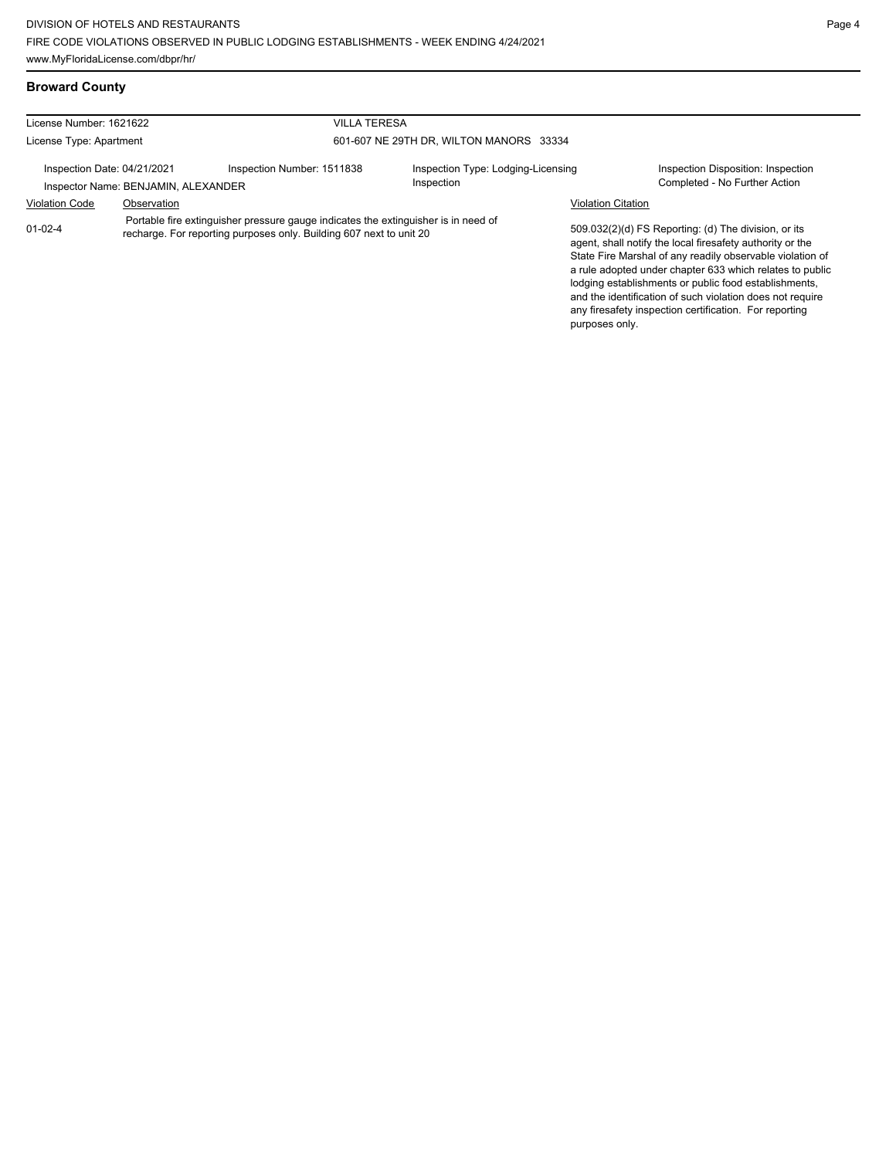any firesafety inspection certification. For reporting

purposes only.

## **Broward County**

| License Number: 1621622                                            |                                                                                                                                                           | <b>VILLA TERESA</b>        |                                                  |                                                                                                                                                                                                                                                                                                                                                                  |  |  |
|--------------------------------------------------------------------|-----------------------------------------------------------------------------------------------------------------------------------------------------------|----------------------------|--------------------------------------------------|------------------------------------------------------------------------------------------------------------------------------------------------------------------------------------------------------------------------------------------------------------------------------------------------------------------------------------------------------------------|--|--|
| License Type: Apartment                                            |                                                                                                                                                           |                            | 601-607 NE 29TH DR. WILTON MANORS 33334          |                                                                                                                                                                                                                                                                                                                                                                  |  |  |
| Inspection Date: 04/21/2021<br>Inspector Name: BENJAMIN, ALEXANDER |                                                                                                                                                           | Inspection Number: 1511838 | Inspection Type: Lodging-Licensing<br>Inspection | Inspection Disposition: Inspection<br>Completed - No Further Action                                                                                                                                                                                                                                                                                              |  |  |
| <b>Violation Code</b>                                              | Observation                                                                                                                                               |                            |                                                  | <b>Violation Citation</b>                                                                                                                                                                                                                                                                                                                                        |  |  |
| $01 - 02 - 4$                                                      | Portable fire extinguisher pressure gauge indicates the extinguisher is in need of<br>recharge. For reporting purposes only. Building 607 next to unit 20 |                            |                                                  | 509.032(2)(d) FS Reporting: (d) The division, or its<br>agent, shall notify the local firesafety authority or the<br>State Fire Marshal of any readily observable violation of<br>a rule adopted under chapter 633 which relates to public<br>lodging establishments or public food establishments,<br>and the identification of such violation does not require |  |  |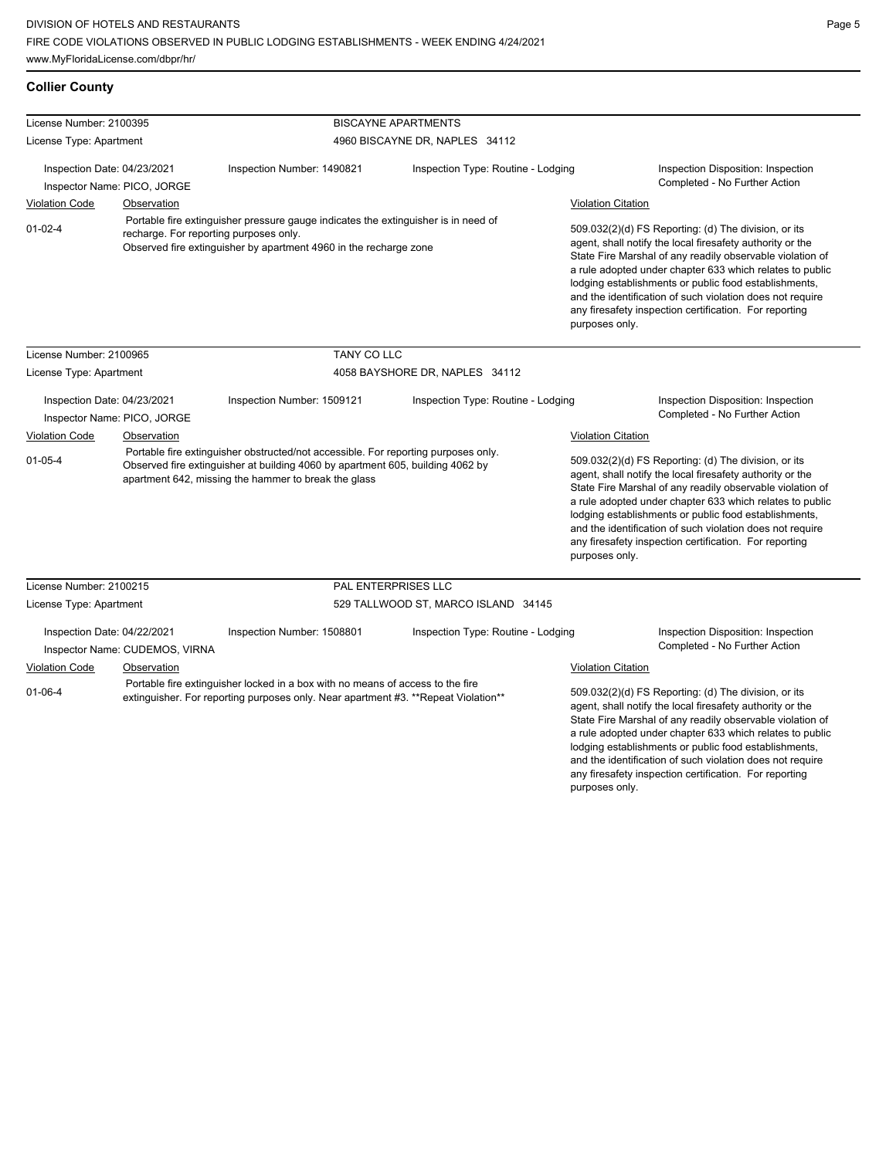## **Collier County**

| License Number: 2100395                                       |                             |                                                                                                                                                                                                   | <b>BISCAYNE APARTMENTS</b>                                                                                                                                                                                                                                                                                                                                       |                                                                                                                                                                                                                                                                                                                                                                                                                                              |                                                                     |  |
|---------------------------------------------------------------|-----------------------------|---------------------------------------------------------------------------------------------------------------------------------------------------------------------------------------------------|------------------------------------------------------------------------------------------------------------------------------------------------------------------------------------------------------------------------------------------------------------------------------------------------------------------------------------------------------------------|----------------------------------------------------------------------------------------------------------------------------------------------------------------------------------------------------------------------------------------------------------------------------------------------------------------------------------------------------------------------------------------------------------------------------------------------|---------------------------------------------------------------------|--|
| License Type: Apartment                                       |                             |                                                                                                                                                                                                   | 4960 BISCAYNE DR, NAPLES 34112                                                                                                                                                                                                                                                                                                                                   |                                                                                                                                                                                                                                                                                                                                                                                                                                              |                                                                     |  |
| Inspection Date: 04/23/2021<br>Inspector Name: PICO, JORGE    |                             | Inspection Number: 1490821                                                                                                                                                                        | Inspection Type: Routine - Lodging                                                                                                                                                                                                                                                                                                                               |                                                                                                                                                                                                                                                                                                                                                                                                                                              | Inspection Disposition: Inspection<br>Completed - No Further Action |  |
|                                                               |                             |                                                                                                                                                                                                   |                                                                                                                                                                                                                                                                                                                                                                  |                                                                                                                                                                                                                                                                                                                                                                                                                                              |                                                                     |  |
| <b>Violation Code</b>                                         | Observation                 |                                                                                                                                                                                                   |                                                                                                                                                                                                                                                                                                                                                                  | <b>Violation Citation</b>                                                                                                                                                                                                                                                                                                                                                                                                                    |                                                                     |  |
| $01 - 02 - 4$                                                 |                             | Portable fire extinguisher pressure gauge indicates the extinguisher is in need of<br>recharge. For reporting purposes only.<br>Observed fire extinguisher by apartment 4960 in the recharge zone |                                                                                                                                                                                                                                                                                                                                                                  | 509.032(2)(d) FS Reporting: (d) The division, or its<br>agent, shall notify the local firesafety authority or the<br>State Fire Marshal of any readily observable violation of<br>a rule adopted under chapter 633 which relates to public<br>lodging establishments or public food establishments,<br>and the identification of such violation does not require<br>any firesafety inspection certification. For reporting<br>purposes only. |                                                                     |  |
| License Number: 2100965                                       |                             | <b>TANY CO LLC</b>                                                                                                                                                                                |                                                                                                                                                                                                                                                                                                                                                                  |                                                                                                                                                                                                                                                                                                                                                                                                                                              |                                                                     |  |
| License Type: Apartment                                       |                             | 4058 BAYSHORE DR, NAPLES 34112                                                                                                                                                                    |                                                                                                                                                                                                                                                                                                                                                                  |                                                                                                                                                                                                                                                                                                                                                                                                                                              |                                                                     |  |
|                                                               | Inspection Date: 04/23/2021 | Inspection Number: 1509121                                                                                                                                                                        | Inspection Type: Routine - Lodging                                                                                                                                                                                                                                                                                                                               |                                                                                                                                                                                                                                                                                                                                                                                                                                              | Inspection Disposition: Inspection<br>Completed - No Further Action |  |
| Inspector Name: PICO, JORGE                                   |                             |                                                                                                                                                                                                   |                                                                                                                                                                                                                                                                                                                                                                  |                                                                                                                                                                                                                                                                                                                                                                                                                                              |                                                                     |  |
| Violation Code                                                | Observation                 | Portable fire extinguisher obstructed/not accessible. For reporting purposes only.                                                                                                                |                                                                                                                                                                                                                                                                                                                                                                  | <b>Violation Citation</b><br>509.032(2)(d) FS Reporting: (d) The division, or its                                                                                                                                                                                                                                                                                                                                                            |                                                                     |  |
| $01 - 05 - 4$                                                 |                             | Observed fire extinguisher at building 4060 by apartment 605, building 4062 by<br>apartment 642, missing the hammer to break the glass                                                            |                                                                                                                                                                                                                                                                                                                                                                  | agent, shall notify the local firesafety authority or the<br>State Fire Marshal of any readily observable violation of<br>a rule adopted under chapter 633 which relates to public<br>lodging establishments or public food establishments,<br>and the identification of such violation does not require<br>any firesafety inspection certification. For reporting<br>purposes only.                                                         |                                                                     |  |
| License Number: 2100215                                       |                             |                                                                                                                                                                                                   | PAL ENTERPRISES LLC                                                                                                                                                                                                                                                                                                                                              |                                                                                                                                                                                                                                                                                                                                                                                                                                              |                                                                     |  |
| License Type: Apartment                                       |                             |                                                                                                                                                                                                   | 529 TALLWOOD ST, MARCO ISLAND 34145                                                                                                                                                                                                                                                                                                                              |                                                                                                                                                                                                                                                                                                                                                                                                                                              |                                                                     |  |
| Inspection Date: 04/22/2021<br>Inspector Name: CUDEMOS, VIRNA |                             | Inspection Number: 1508801                                                                                                                                                                        | Inspection Type: Routine - Lodging                                                                                                                                                                                                                                                                                                                               |                                                                                                                                                                                                                                                                                                                                                                                                                                              | Inspection Disposition: Inspection<br>Completed - No Further Action |  |
| Violation Code                                                | Observation                 |                                                                                                                                                                                                   |                                                                                                                                                                                                                                                                                                                                                                  | <b>Violation Citation</b>                                                                                                                                                                                                                                                                                                                                                                                                                    |                                                                     |  |
|                                                               |                             | Portable fire extinguisher locked in a box with no means of access to the fire                                                                                                                    |                                                                                                                                                                                                                                                                                                                                                                  |                                                                                                                                                                                                                                                                                                                                                                                                                                              |                                                                     |  |
| $01 - 06 - 4$                                                 |                             | extinguisher. For reporting purposes only. Near apartment #3. **Repeat Violation**                                                                                                                | 509.032(2)(d) FS Reporting: (d) The division, or its<br>agent, shall notify the local firesafety authority or the<br>State Fire Marshal of any readily observable violation of<br>a rule adopted under chapter 633 which relates to public<br>lodging establishments or public food establishments,<br>and the identification of such violation does not require |                                                                                                                                                                                                                                                                                                                                                                                                                                              |                                                                     |  |

any firesafety inspection certification. For reporting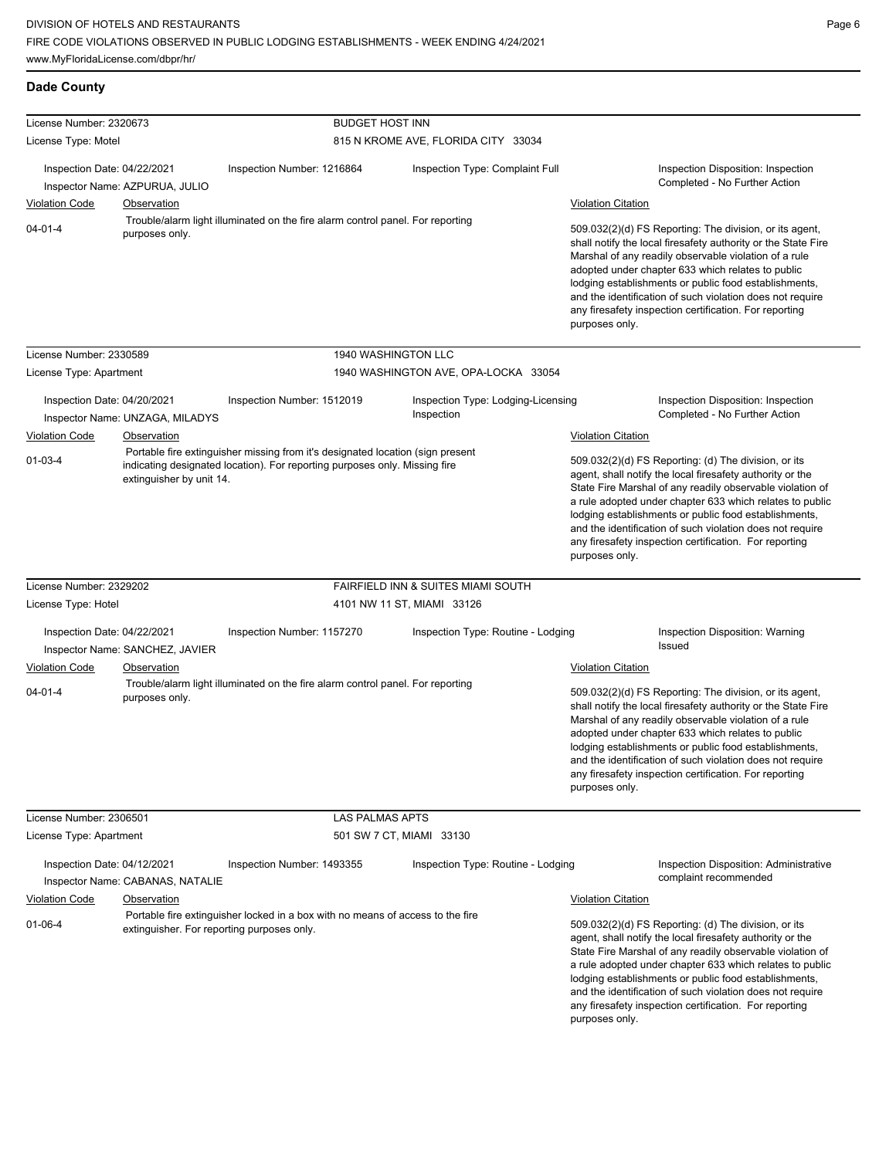**Dade County**

any firesafety inspection certification. For reporting

| License Number: 2320673     |                                            |                                                                                                                                                              | <b>BUDGET HOST INN</b>   |                                                  |                           |                                                                                                                                                                                                                                                                                                                                                                                                                            |
|-----------------------------|--------------------------------------------|--------------------------------------------------------------------------------------------------------------------------------------------------------------|--------------------------|--------------------------------------------------|---------------------------|----------------------------------------------------------------------------------------------------------------------------------------------------------------------------------------------------------------------------------------------------------------------------------------------------------------------------------------------------------------------------------------------------------------------------|
| License Type: Motel         |                                            |                                                                                                                                                              |                          | 815 N KROME AVE, FLORIDA CITY 33034              |                           |                                                                                                                                                                                                                                                                                                                                                                                                                            |
| Inspection Date: 04/22/2021 | Inspector Name: AZPURUA, JULIO             | Inspection Number: 1216864                                                                                                                                   |                          | Inspection Type: Complaint Full                  |                           | Inspection Disposition: Inspection<br>Completed - No Further Action                                                                                                                                                                                                                                                                                                                                                        |
| <b>Violation Code</b>       | Observation                                |                                                                                                                                                              |                          |                                                  | <b>Violation Citation</b> |                                                                                                                                                                                                                                                                                                                                                                                                                            |
| $04 - 01 - 4$               | purposes only.                             | Trouble/alarm light illuminated on the fire alarm control panel. For reporting                                                                               |                          |                                                  | purposes only.            | 509.032(2)(d) FS Reporting: The division, or its agent,<br>shall notify the local firesafety authority or the State Fire<br>Marshal of any readily observable violation of a rule<br>adopted under chapter 633 which relates to public<br>lodging establishments or public food establishments,<br>and the identification of such violation does not require<br>any firesafety inspection certification. For reporting     |
| License Number: 2330589     |                                            |                                                                                                                                                              | 1940 WASHINGTON LLC      |                                                  |                           |                                                                                                                                                                                                                                                                                                                                                                                                                            |
| License Type: Apartment     |                                            |                                                                                                                                                              |                          | 1940 WASHINGTON AVE, OPA-LOCKA 33054             |                           |                                                                                                                                                                                                                                                                                                                                                                                                                            |
| Inspection Date: 04/20/2021 | Inspector Name: UNZAGA, MILADYS            | Inspection Number: 1512019                                                                                                                                   |                          | Inspection Type: Lodging-Licensing<br>Inspection |                           | Inspection Disposition: Inspection<br>Completed - No Further Action                                                                                                                                                                                                                                                                                                                                                        |
| <b>Violation Code</b>       | Observation                                |                                                                                                                                                              |                          |                                                  | <b>Violation Citation</b> |                                                                                                                                                                                                                                                                                                                                                                                                                            |
| $01 - 03 - 4$               | extinguisher by unit 14.                   | Portable fire extinguisher missing from it's designated location (sign present<br>indicating designated location). For reporting purposes only. Missing fire |                          |                                                  | purposes only.            | 509.032(2)(d) FS Reporting: (d) The division, or its<br>agent, shall notify the local firesafety authority or the<br>State Fire Marshal of any readily observable violation of<br>a rule adopted under chapter 633 which relates to public<br>lodging establishments or public food establishments,<br>and the identification of such violation does not require<br>any firesafety inspection certification. For reporting |
| License Number: 2329202     |                                            |                                                                                                                                                              |                          | FAIRFIELD INN & SUITES MIAMI SOUTH               |                           |                                                                                                                                                                                                                                                                                                                                                                                                                            |
| License Type: Hotel         |                                            |                                                                                                                                                              |                          | 4101 NW 11 ST, MIAMI 33126                       |                           |                                                                                                                                                                                                                                                                                                                                                                                                                            |
| Inspection Date: 04/22/2021 | Inspector Name: SANCHEZ, JAVIER            | Inspection Number: 1157270                                                                                                                                   |                          | Inspection Type: Routine - Lodging               |                           | Inspection Disposition: Warning<br>Issued                                                                                                                                                                                                                                                                                                                                                                                  |
| <b>Violation Code</b>       | Observation                                |                                                                                                                                                              |                          |                                                  | <b>Violation Citation</b> |                                                                                                                                                                                                                                                                                                                                                                                                                            |
| $04 - 01 - 4$               | purposes only.                             | Trouble/alarm light illuminated on the fire alarm control panel. For reporting                                                                               |                          |                                                  | purposes only.            | 509.032(2)(d) FS Reporting: The division, or its agent,<br>shall notify the local firesafety authority or the State Fire<br>Marshal of any readily observable violation of a rule<br>adopted under chapter 633 which relates to public<br>lodging establishments or public food establishments,<br>and the identification of such violation does not require<br>any firesafety inspection certification. For reporting     |
| License Number: 2306501     |                                            |                                                                                                                                                              | <b>LAS PALMAS APTS</b>   |                                                  |                           |                                                                                                                                                                                                                                                                                                                                                                                                                            |
| License Type: Apartment     |                                            |                                                                                                                                                              | 501 SW 7 CT, MIAMI 33130 |                                                  |                           |                                                                                                                                                                                                                                                                                                                                                                                                                            |
| Inspection Date: 04/12/2021 | Inspector Name: CABANAS, NATALIE           | Inspection Number: 1493355                                                                                                                                   |                          | Inspection Type: Routine - Lodging               |                           | <b>Inspection Disposition: Administrative</b><br>complaint recommended                                                                                                                                                                                                                                                                                                                                                     |
| <b>Violation Code</b>       | Observation                                |                                                                                                                                                              |                          |                                                  | <b>Violation Citation</b> |                                                                                                                                                                                                                                                                                                                                                                                                                            |
| 01-06-4                     | extinguisher. For reporting purposes only. | Portable fire extinguisher locked in a box with no means of access to the fire                                                                               |                          |                                                  |                           | 509.032(2)(d) FS Reporting: (d) The division, or its<br>agent, shall notify the local firesafety authority or the<br>State Fire Marshal of any readily observable violation of<br>a rule adopted under chapter 633 which relates to public<br>lodging establishments or public food establishments,<br>and the identification of such violation does not require                                                           |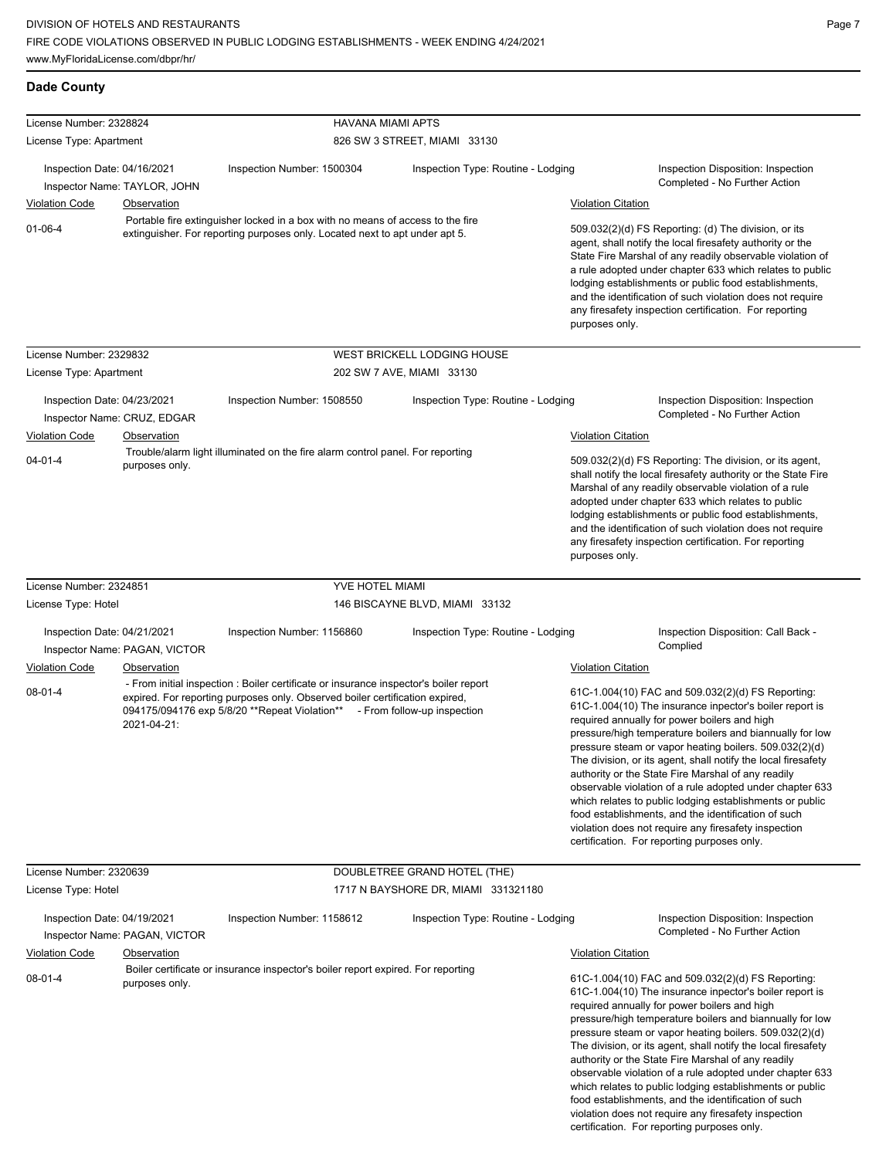**Dade County**

| License Number: 2328824                              |                                                     | <b>HAVANA MIAMI APTS</b>                                                                                                                                                                                                                           |                                     |                                                                                                                                                                                                                                                                                                                                                                                                                            |                                                                                                                                                                                                                                                                                                                                                                                                                                                                                                                                                                                                                                                                                                 |
|------------------------------------------------------|-----------------------------------------------------|----------------------------------------------------------------------------------------------------------------------------------------------------------------------------------------------------------------------------------------------------|-------------------------------------|----------------------------------------------------------------------------------------------------------------------------------------------------------------------------------------------------------------------------------------------------------------------------------------------------------------------------------------------------------------------------------------------------------------------------|-------------------------------------------------------------------------------------------------------------------------------------------------------------------------------------------------------------------------------------------------------------------------------------------------------------------------------------------------------------------------------------------------------------------------------------------------------------------------------------------------------------------------------------------------------------------------------------------------------------------------------------------------------------------------------------------------|
| License Type: Apartment                              |                                                     |                                                                                                                                                                                                                                                    | 826 SW 3 STREET, MIAMI 33130        |                                                                                                                                                                                                                                                                                                                                                                                                                            |                                                                                                                                                                                                                                                                                                                                                                                                                                                                                                                                                                                                                                                                                                 |
| Inspection Date: 04/16/2021                          | Inspector Name: TAYLOR, JOHN                        | Inspection Number: 1500304                                                                                                                                                                                                                         | Inspection Type: Routine - Lodging  |                                                                                                                                                                                                                                                                                                                                                                                                                            | Inspection Disposition: Inspection<br>Completed - No Further Action                                                                                                                                                                                                                                                                                                                                                                                                                                                                                                                                                                                                                             |
| <b>Violation Code</b>                                | <b>Observation</b>                                  |                                                                                                                                                                                                                                                    | <b>Violation Citation</b>           |                                                                                                                                                                                                                                                                                                                                                                                                                            |                                                                                                                                                                                                                                                                                                                                                                                                                                                                                                                                                                                                                                                                                                 |
| $01-06-4$                                            |                                                     | Portable fire extinguisher locked in a box with no means of access to the fire<br>extinguisher. For reporting purposes only. Located next to apt under apt 5.                                                                                      | purposes only.                      | 509.032(2)(d) FS Reporting: (d) The division, or its<br>agent, shall notify the local firesafety authority or the<br>State Fire Marshal of any readily observable violation of<br>a rule adopted under chapter 633 which relates to public<br>lodging establishments or public food establishments,<br>and the identification of such violation does not require<br>any firesafety inspection certification. For reporting |                                                                                                                                                                                                                                                                                                                                                                                                                                                                                                                                                                                                                                                                                                 |
| License Number: 2329832                              |                                                     |                                                                                                                                                                                                                                                    | WEST BRICKELL LODGING HOUSE         |                                                                                                                                                                                                                                                                                                                                                                                                                            |                                                                                                                                                                                                                                                                                                                                                                                                                                                                                                                                                                                                                                                                                                 |
| License Type: Apartment                              |                                                     |                                                                                                                                                                                                                                                    | 202 SW 7 AVE, MIAMI 33130           |                                                                                                                                                                                                                                                                                                                                                                                                                            |                                                                                                                                                                                                                                                                                                                                                                                                                                                                                                                                                                                                                                                                                                 |
| Inspection Date: 04/23/2021                          | Inspector Name: CRUZ, EDGAR                         | Inspection Number: 1508550                                                                                                                                                                                                                         | Inspection Type: Routine - Lodging  |                                                                                                                                                                                                                                                                                                                                                                                                                            | Inspection Disposition: Inspection<br>Completed - No Further Action                                                                                                                                                                                                                                                                                                                                                                                                                                                                                                                                                                                                                             |
| <b>Violation Code</b>                                | <b>Observation</b>                                  |                                                                                                                                                                                                                                                    |                                     | <b>Violation Citation</b>                                                                                                                                                                                                                                                                                                                                                                                                  |                                                                                                                                                                                                                                                                                                                                                                                                                                                                                                                                                                                                                                                                                                 |
| $04 - 01 - 4$                                        | purposes only.                                      | Trouble/alarm light illuminated on the fire alarm control panel. For reporting                                                                                                                                                                     |                                     | purposes only.                                                                                                                                                                                                                                                                                                                                                                                                             | 509.032(2)(d) FS Reporting: The division, or its agent,<br>shall notify the local firesafety authority or the State Fire<br>Marshal of any readily observable violation of a rule<br>adopted under chapter 633 which relates to public<br>lodging establishments or public food establishments,<br>and the identification of such violation does not require<br>any firesafety inspection certification. For reporting                                                                                                                                                                                                                                                                          |
| License Number: 2324851                              |                                                     | YVE HOTEL MIAMI                                                                                                                                                                                                                                    |                                     |                                                                                                                                                                                                                                                                                                                                                                                                                            |                                                                                                                                                                                                                                                                                                                                                                                                                                                                                                                                                                                                                                                                                                 |
| License Type: Hotel                                  |                                                     |                                                                                                                                                                                                                                                    | 146 BISCAYNE BLVD, MIAMI 33132      |                                                                                                                                                                                                                                                                                                                                                                                                                            |                                                                                                                                                                                                                                                                                                                                                                                                                                                                                                                                                                                                                                                                                                 |
| Inspection Date: 04/21/2021                          | Inspector Name: PAGAN, VICTOR                       | Inspection Number: 1156860                                                                                                                                                                                                                         | Inspection Type: Routine - Lodging  |                                                                                                                                                                                                                                                                                                                                                                                                                            | Inspection Disposition: Call Back -<br>Complied                                                                                                                                                                                                                                                                                                                                                                                                                                                                                                                                                                                                                                                 |
| <b>Violation Code</b>                                | Observation                                         |                                                                                                                                                                                                                                                    |                                     | <b>Violation Citation</b>                                                                                                                                                                                                                                                                                                                                                                                                  |                                                                                                                                                                                                                                                                                                                                                                                                                                                                                                                                                                                                                                                                                                 |
| $08-01-4$                                            | 2021-04-21:                                         | - From initial inspection : Boiler certificate or insurance inspector's boiler report<br>expired. For reporting purposes only. Observed boiler certification expired,<br>094175/094176 exp 5/8/20 **Repeat Violation** - From follow-up inspection |                                     |                                                                                                                                                                                                                                                                                                                                                                                                                            | 61C-1.004(10) FAC and 509.032(2)(d) FS Reporting:<br>61C-1.004(10) The insurance inpector's boiler report is<br>required annually for power boilers and high<br>pressure/high temperature boilers and biannually for low<br>pressure steam or vapor heating boilers. 509.032(2)(d)<br>The division, or its agent, shall notify the local firesafety<br>authority or the State Fire Marshal of any readily<br>observable violation of a rule adopted under chapter 633<br>which relates to public lodging establishments or public<br>food establishments, and the identification of such<br>violation does not require any firesafety inspection<br>certification. For reporting purposes only. |
| License Number: 2320639                              |                                                     |                                                                                                                                                                                                                                                    | DOUBLETREE GRAND HOTEL (THE)        |                                                                                                                                                                                                                                                                                                                                                                                                                            |                                                                                                                                                                                                                                                                                                                                                                                                                                                                                                                                                                                                                                                                                                 |
| License Type: Hotel                                  |                                                     |                                                                                                                                                                                                                                                    | 1717 N BAYSHORE DR, MIAMI 331321180 |                                                                                                                                                                                                                                                                                                                                                                                                                            |                                                                                                                                                                                                                                                                                                                                                                                                                                                                                                                                                                                                                                                                                                 |
| Inspection Date: 04/19/2021<br><b>Violation Code</b> | Inspector Name: PAGAN, VICTOR<br><b>Observation</b> | Inspection Number: 1158612                                                                                                                                                                                                                         | Inspection Type: Routine - Lodging  | <b>Violation Citation</b>                                                                                                                                                                                                                                                                                                                                                                                                  | Inspection Disposition: Inspection<br>Completed - No Further Action                                                                                                                                                                                                                                                                                                                                                                                                                                                                                                                                                                                                                             |
| 08-01-4                                              | purposes only.                                      | Boiler certificate or insurance inspector's boiler report expired. For reporting                                                                                                                                                                   |                                     |                                                                                                                                                                                                                                                                                                                                                                                                                            | 61C-1.004(10) FAC and 509.032(2)(d) FS Reporting:<br>61C-1.004(10) The insurance inpector's boiler report is<br>required annually for power boilers and high<br>pressure/high temperature boilers and biannually for low<br>pressure steam or vapor heating boilers. 509.032(2)(d)<br>The division, or its agent, shall notify the local firesafety<br>authority or the State Fire Marshal of any readily<br>observable violation of a rule adopted under chapter 633<br>which relates to public lodging establishments or public<br>food establishments, and the identification of such<br>violation does not require any firesafety inspection                                                |

certification. For reporting purposes only.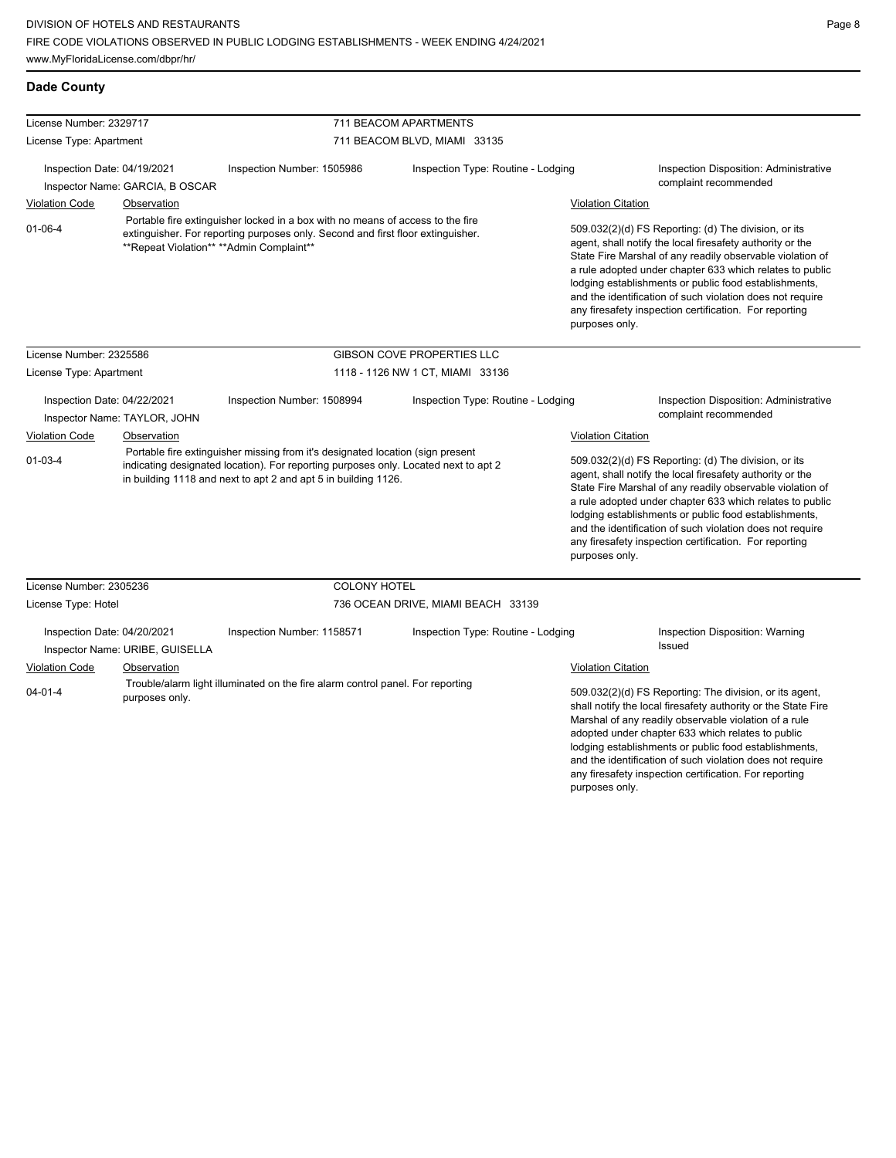any firesafety inspection certification. For reporting

| <b>Dade County</b>                                          |                                                                                                                                                                                                                                                                                 |                                                                                |                                                                                                                                                                                                                                                                                                                                                                                                                                              |                                                                                                                                                                                                                                                                                                                                                                                                                                              |                                                                 |  |  |
|-------------------------------------------------------------|---------------------------------------------------------------------------------------------------------------------------------------------------------------------------------------------------------------------------------------------------------------------------------|--------------------------------------------------------------------------------|----------------------------------------------------------------------------------------------------------------------------------------------------------------------------------------------------------------------------------------------------------------------------------------------------------------------------------------------------------------------------------------------------------------------------------------------|----------------------------------------------------------------------------------------------------------------------------------------------------------------------------------------------------------------------------------------------------------------------------------------------------------------------------------------------------------------------------------------------------------------------------------------------|-----------------------------------------------------------------|--|--|
| License Number: 2329717                                     |                                                                                                                                                                                                                                                                                 |                                                                                | 711 BEACOM APARTMENTS                                                                                                                                                                                                                                                                                                                                                                                                                        |                                                                                                                                                                                                                                                                                                                                                                                                                                              |                                                                 |  |  |
| License Type: Apartment                                     |                                                                                                                                                                                                                                                                                 |                                                                                | 711 BEACOM BLVD, MIAMI 33135                                                                                                                                                                                                                                                                                                                                                                                                                 |                                                                                                                                                                                                                                                                                                                                                                                                                                              |                                                                 |  |  |
| Inspection Date: 04/19/2021                                 |                                                                                                                                                                                                                                                                                 | Inspection Number: 1505986                                                     | Inspection Type: Routine - Lodging                                                                                                                                                                                                                                                                                                                                                                                                           |                                                                                                                                                                                                                                                                                                                                                                                                                                              | Inspection Disposition: Administrative                          |  |  |
|                                                             | Inspector Name: GARCIA, B OSCAR                                                                                                                                                                                                                                                 |                                                                                |                                                                                                                                                                                                                                                                                                                                                                                                                                              |                                                                                                                                                                                                                                                                                                                                                                                                                                              | complaint recommended                                           |  |  |
| <b>Violation Code</b>                                       | Observation                                                                                                                                                                                                                                                                     |                                                                                |                                                                                                                                                                                                                                                                                                                                                                                                                                              | <b>Violation Citation</b>                                                                                                                                                                                                                                                                                                                                                                                                                    |                                                                 |  |  |
| $01-06-4$                                                   | Portable fire extinguisher locked in a box with no means of access to the fire<br>extinguisher. For reporting purposes only. Second and first floor extinguisher.<br>**Repeat Violation** **Admin Complaint**                                                                   |                                                                                | 509.032(2)(d) FS Reporting: (d) The division, or its<br>agent, shall notify the local firesafety authority or the<br>State Fire Marshal of any readily observable violation of<br>a rule adopted under chapter 633 which relates to public<br>lodging establishments or public food establishments,<br>and the identification of such violation does not require<br>any firesafety inspection certification. For reporting<br>purposes only. |                                                                                                                                                                                                                                                                                                                                                                                                                                              |                                                                 |  |  |
| License Number: 2325586                                     |                                                                                                                                                                                                                                                                                 |                                                                                | GIBSON COVE PROPERTIES LLC                                                                                                                                                                                                                                                                                                                                                                                                                   |                                                                                                                                                                                                                                                                                                                                                                                                                                              |                                                                 |  |  |
| License Type: Apartment                                     |                                                                                                                                                                                                                                                                                 |                                                                                | 1118 - 1126 NW 1 CT, MIAMI 33136                                                                                                                                                                                                                                                                                                                                                                                                             |                                                                                                                                                                                                                                                                                                                                                                                                                                              |                                                                 |  |  |
| Inspection Date: 04/22/2021<br>Inspector Name: TAYLOR, JOHN |                                                                                                                                                                                                                                                                                 | Inspection Number: 1508994                                                     | Inspection Type: Routine - Lodging                                                                                                                                                                                                                                                                                                                                                                                                           |                                                                                                                                                                                                                                                                                                                                                                                                                                              | Inspection Disposition: Administrative<br>complaint recommended |  |  |
|                                                             |                                                                                                                                                                                                                                                                                 |                                                                                |                                                                                                                                                                                                                                                                                                                                                                                                                                              |                                                                                                                                                                                                                                                                                                                                                                                                                                              | <b>Violation Citation</b>                                       |  |  |
| $01 - 03 - 4$                                               | <b>Violation Code</b><br>Observation<br>Portable fire extinguisher missing from it's designated location (sign present<br>indicating designated location). For reporting purposes only. Located next to apt 2<br>in building 1118 and next to apt 2 and apt 5 in building 1126. |                                                                                |                                                                                                                                                                                                                                                                                                                                                                                                                                              | 509.032(2)(d) FS Reporting: (d) The division, or its<br>agent, shall notify the local firesafety authority or the<br>State Fire Marshal of any readily observable violation of<br>a rule adopted under chapter 633 which relates to public<br>lodging establishments or public food establishments,<br>and the identification of such violation does not require<br>any firesafety inspection certification. For reporting<br>purposes only. |                                                                 |  |  |
| License Number: 2305236                                     |                                                                                                                                                                                                                                                                                 |                                                                                | <b>COLONY HOTEL</b>                                                                                                                                                                                                                                                                                                                                                                                                                          |                                                                                                                                                                                                                                                                                                                                                                                                                                              |                                                                 |  |  |
| License Type: Hotel                                         |                                                                                                                                                                                                                                                                                 |                                                                                | 736 OCEAN DRIVE, MIAMI BEACH 33139                                                                                                                                                                                                                                                                                                                                                                                                           |                                                                                                                                                                                                                                                                                                                                                                                                                                              |                                                                 |  |  |
| Inspection Date: 04/20/2021                                 | Inspector Name: URIBE, GUISELLA                                                                                                                                                                                                                                                 | Inspection Number: 1158571                                                     | Inspection Type: Routine - Lodging                                                                                                                                                                                                                                                                                                                                                                                                           |                                                                                                                                                                                                                                                                                                                                                                                                                                              | Inspection Disposition: Warning<br><b>Issued</b>                |  |  |
| Violation Code                                              | Observation                                                                                                                                                                                                                                                                     |                                                                                |                                                                                                                                                                                                                                                                                                                                                                                                                                              | <b>Violation Citation</b>                                                                                                                                                                                                                                                                                                                                                                                                                    |                                                                 |  |  |
| $04 - 01 - 4$                                               | purposes only.                                                                                                                                                                                                                                                                  | Trouble/alarm light illuminated on the fire alarm control panel. For reporting |                                                                                                                                                                                                                                                                                                                                                                                                                                              | 509.032(2)(d) FS Reporting: The division, or its agent,<br>shall notify the local firesafety authority or the State Fire<br>Marshal of any readily observable violation of a rule<br>adopted under chapter 633 which relates to public<br>lodging establishments or public food establishments,<br>and the identification of such violation does not require                                                                                 |                                                                 |  |  |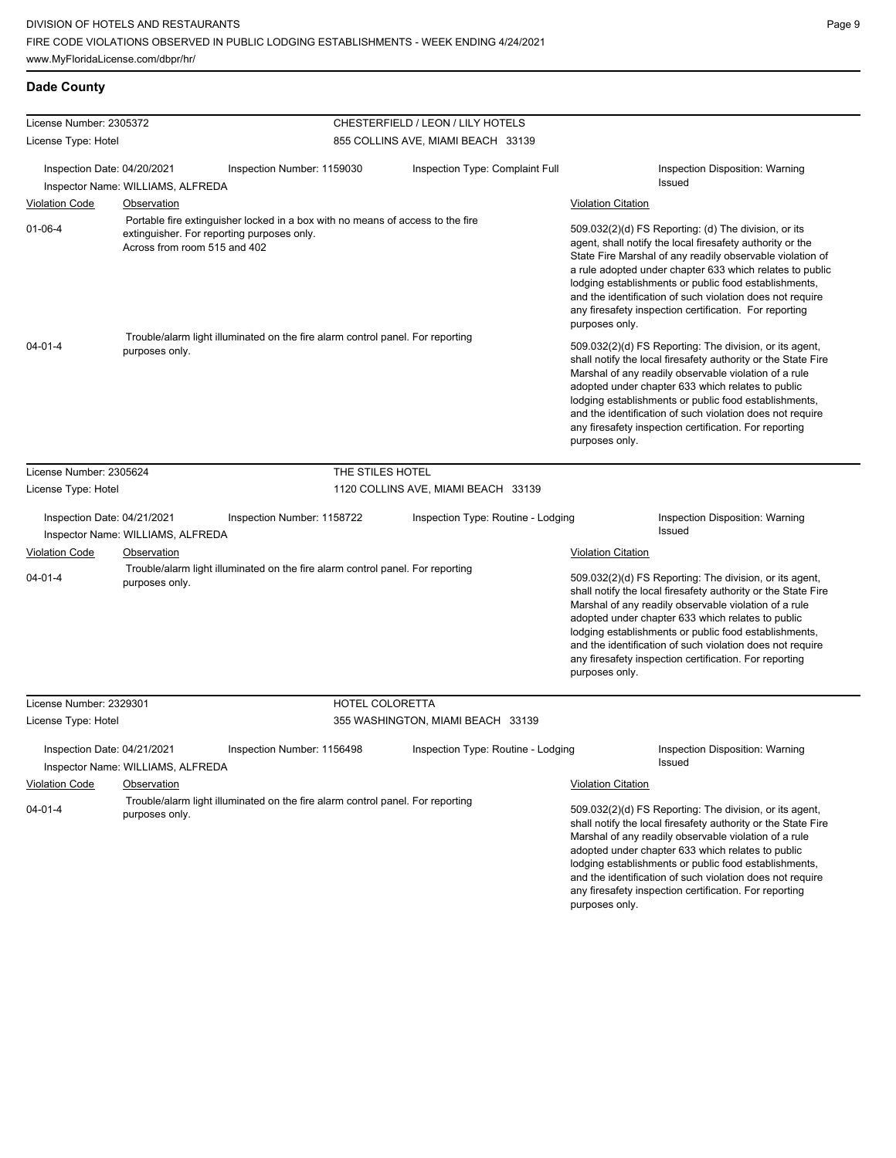## **Dade County**

| License Number: 2305372                                                                                                                                                       |                                                                                                                 |                                                                                | CHESTERFIELD / LEON / LILY HOTELS   |                                                                                                                                                                                                                                                                                                                                                                                                                                              |  |  |
|-------------------------------------------------------------------------------------------------------------------------------------------------------------------------------|-----------------------------------------------------------------------------------------------------------------|--------------------------------------------------------------------------------|-------------------------------------|----------------------------------------------------------------------------------------------------------------------------------------------------------------------------------------------------------------------------------------------------------------------------------------------------------------------------------------------------------------------------------------------------------------------------------------------|--|--|
| License Type: Hotel                                                                                                                                                           |                                                                                                                 |                                                                                | 855 COLLINS AVE, MIAMI BEACH 33139  |                                                                                                                                                                                                                                                                                                                                                                                                                                              |  |  |
|                                                                                                                                                                               |                                                                                                                 |                                                                                |                                     |                                                                                                                                                                                                                                                                                                                                                                                                                                              |  |  |
| Inspection Date: 04/20/2021                                                                                                                                                   |                                                                                                                 | Inspection Number: 1159030                                                     | Inspection Type: Complaint Full     | Inspection Disposition: Warning<br>Issued                                                                                                                                                                                                                                                                                                                                                                                                    |  |  |
|                                                                                                                                                                               | Inspector Name: WILLIAMS, ALFREDA                                                                               |                                                                                |                                     |                                                                                                                                                                                                                                                                                                                                                                                                                                              |  |  |
| <b>Violation Code</b>                                                                                                                                                         | Observation                                                                                                     |                                                                                |                                     | <b>Violation Citation</b>                                                                                                                                                                                                                                                                                                                                                                                                                    |  |  |
| Portable fire extinguisher locked in a box with no means of access to the fire<br>$01 - 06 - 4$<br>extinguisher. For reporting purposes only.<br>Across from room 515 and 402 |                                                                                                                 |                                                                                |                                     | 509.032(2)(d) FS Reporting: (d) The division, or its<br>agent, shall notify the local firesafety authority or the<br>State Fire Marshal of any readily observable violation of<br>a rule adopted under chapter 633 which relates to public<br>lodging establishments or public food establishments,<br>and the identification of such violation does not require<br>any firesafety inspection certification. For reporting<br>purposes only. |  |  |
| $04 - 01 - 4$                                                                                                                                                                 | purposes only.                                                                                                  | Trouble/alarm light illuminated on the fire alarm control panel. For reporting |                                     | 509.032(2)(d) FS Reporting: The division, or its agent,<br>shall notify the local firesafety authority or the State Fire<br>Marshal of any readily observable violation of a rule<br>adopted under chapter 633 which relates to public<br>lodging establishments or public food establishments,<br>and the identification of such violation does not require<br>any firesafety inspection certification. For reporting<br>purposes only.     |  |  |
| License Number: 2305624                                                                                                                                                       |                                                                                                                 | THE STILES HOTEL                                                               |                                     |                                                                                                                                                                                                                                                                                                                                                                                                                                              |  |  |
| License Type: Hotel                                                                                                                                                           |                                                                                                                 |                                                                                | 1120 COLLINS AVE, MIAMI BEACH 33139 |                                                                                                                                                                                                                                                                                                                                                                                                                                              |  |  |
| Inspection Date: 04/21/2021                                                                                                                                                   |                                                                                                                 | Inspection Number: 1158722                                                     | Inspection Type: Routine - Lodging  | Inspection Disposition: Warning                                                                                                                                                                                                                                                                                                                                                                                                              |  |  |
|                                                                                                                                                                               | Inspector Name: WILLIAMS, ALFREDA                                                                               |                                                                                |                                     | Issued                                                                                                                                                                                                                                                                                                                                                                                                                                       |  |  |
| <b>Violation Code</b>                                                                                                                                                         | <b>Observation</b>                                                                                              |                                                                                |                                     | <b>Violation Citation</b>                                                                                                                                                                                                                                                                                                                                                                                                                    |  |  |
| $04 - 01 - 4$                                                                                                                                                                 | purposes only.                                                                                                  | Trouble/alarm light illuminated on the fire alarm control panel. For reporting |                                     | 509.032(2)(d) FS Reporting: The division, or its agent,<br>shall notify the local firesafety authority or the State Fire<br>Marshal of any readily observable violation of a rule<br>adopted under chapter 633 which relates to public<br>lodging establishments or public food establishments,<br>and the identification of such violation does not require<br>any firesafety inspection certification. For reporting<br>purposes only.     |  |  |
| License Number: 2329301                                                                                                                                                       |                                                                                                                 | HOTEL COLORETTA                                                                |                                     |                                                                                                                                                                                                                                                                                                                                                                                                                                              |  |  |
| License Type: Hotel                                                                                                                                                           |                                                                                                                 |                                                                                | 355 WASHINGTON, MIAMI BEACH 33139   |                                                                                                                                                                                                                                                                                                                                                                                                                                              |  |  |
| Inspection Date: 04/21/2021<br>Inspector Name: WILLIAMS, ALFREDA                                                                                                              |                                                                                                                 | Inspection Number: 1156498                                                     | Inspection Type: Routine - Lodging  | Inspection Disposition: Warning<br>Issued<br><b>Violation Citation</b>                                                                                                                                                                                                                                                                                                                                                                       |  |  |
| <b>Violation Code</b><br>$04 - 01 - 4$                                                                                                                                        | Observation<br>Trouble/alarm light illuminated on the fire alarm control panel. For reporting<br>purposes only. |                                                                                |                                     | 509.032(2)(d) FS Reporting: The division, or its agent,<br>shall notify the local firesafety authority or the State Fire<br>Marshal of any readily observable violation of a rule<br>adopted under chapter 633 which relates to public<br>lodging establishments or public food establishments,<br>and the identification of such violation does not require<br>any firesafety inspection certification. For reporting<br>purposes only.     |  |  |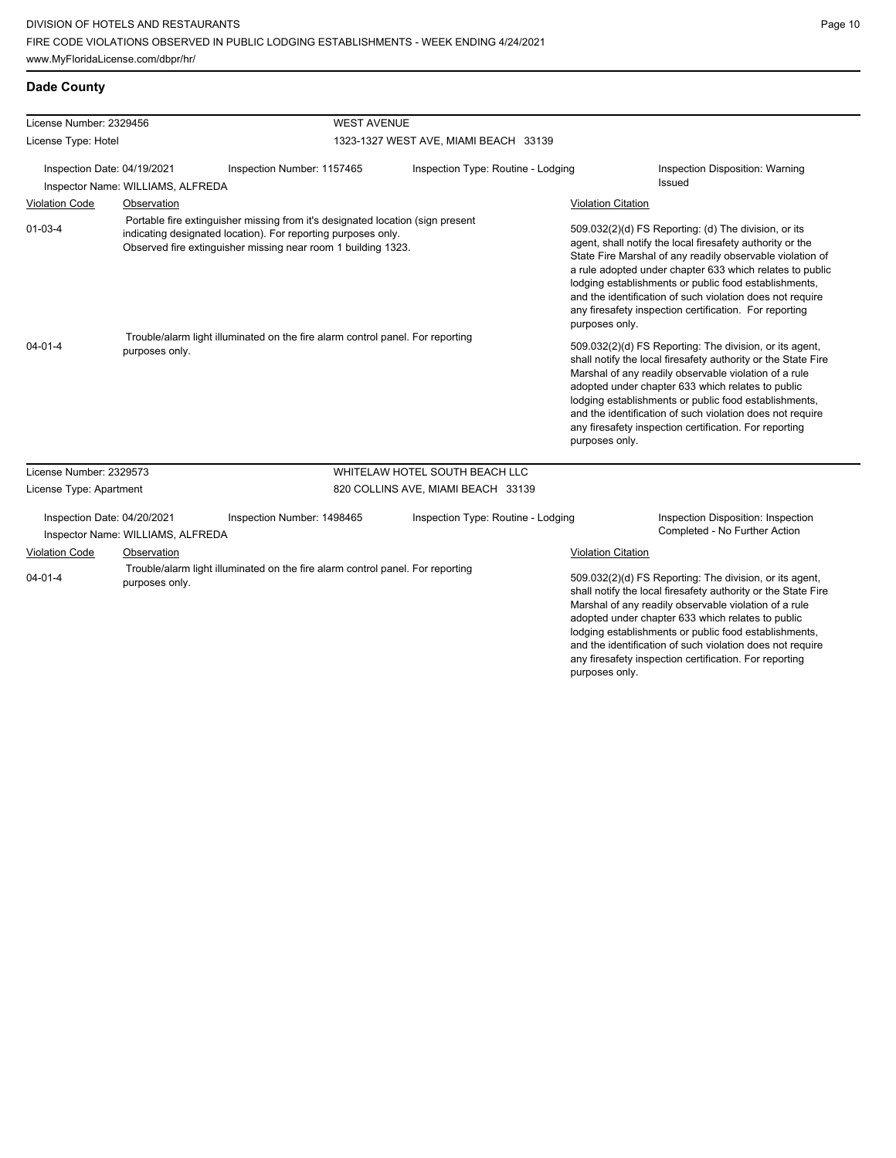## **Dade County**

| License Number: 2329456                                          |                                   |                                                                                                                                                                                                                                                                                                    | <b>WEST AVENUE</b>                    |                                                                                                                                                                                                                                                                                                                                                                                                                                                                                                                                                                                                                                                                                                                                                                                                                                                                                          |                                                                     |  |  |
|------------------------------------------------------------------|-----------------------------------|----------------------------------------------------------------------------------------------------------------------------------------------------------------------------------------------------------------------------------------------------------------------------------------------------|---------------------------------------|------------------------------------------------------------------------------------------------------------------------------------------------------------------------------------------------------------------------------------------------------------------------------------------------------------------------------------------------------------------------------------------------------------------------------------------------------------------------------------------------------------------------------------------------------------------------------------------------------------------------------------------------------------------------------------------------------------------------------------------------------------------------------------------------------------------------------------------------------------------------------------------|---------------------------------------------------------------------|--|--|
| License Type: Hotel                                              |                                   |                                                                                                                                                                                                                                                                                                    | 1323-1327 WEST AVE, MIAMI BEACH 33139 |                                                                                                                                                                                                                                                                                                                                                                                                                                                                                                                                                                                                                                                                                                                                                                                                                                                                                          |                                                                     |  |  |
| Inspection Date: 04/19/2021<br>Inspector Name: WILLIAMS, ALFREDA |                                   | Inspection Number: 1157465                                                                                                                                                                                                                                                                         | Inspection Type: Routine - Lodging    |                                                                                                                                                                                                                                                                                                                                                                                                                                                                                                                                                                                                                                                                                                                                                                                                                                                                                          | Inspection Disposition: Warning<br>Issued                           |  |  |
| <b>Violation Code</b>                                            | Observation                       |                                                                                                                                                                                                                                                                                                    |                                       | <b>Violation Citation</b>                                                                                                                                                                                                                                                                                                                                                                                                                                                                                                                                                                                                                                                                                                                                                                                                                                                                |                                                                     |  |  |
| $01 - 03 - 4$<br>$04 - 01 - 4$                                   | purposes only.                    | Portable fire extinguisher missing from it's designated location (sign present<br>indicating designated location). For reporting purposes only.<br>Observed fire extinguisher missing near room 1 building 1323.<br>Trouble/alarm light illuminated on the fire alarm control panel. For reporting |                                       | 509.032(2)(d) FS Reporting: (d) The division, or its<br>agent, shall notify the local firesafety authority or the<br>State Fire Marshal of any readily observable violation of<br>a rule adopted under chapter 633 which relates to public<br>lodging establishments or public food establishments,<br>and the identification of such violation does not require<br>any firesafety inspection certification. For reporting<br>purposes only.<br>509.032(2)(d) FS Reporting: The division, or its agent,<br>shall notify the local firesafety authority or the State Fire<br>Marshal of any readily observable violation of a rule<br>adopted under chapter 633 which relates to public<br>lodging establishments or public food establishments,<br>and the identification of such violation does not require<br>any firesafety inspection certification. For reporting<br>purposes only. |                                                                     |  |  |
|                                                                  |                                   |                                                                                                                                                                                                                                                                                                    |                                       |                                                                                                                                                                                                                                                                                                                                                                                                                                                                                                                                                                                                                                                                                                                                                                                                                                                                                          |                                                                     |  |  |
| License Number: 2329573                                          |                                   |                                                                                                                                                                                                                                                                                                    | WHITELAW HOTEL SOUTH BEACH LLC        |                                                                                                                                                                                                                                                                                                                                                                                                                                                                                                                                                                                                                                                                                                                                                                                                                                                                                          |                                                                     |  |  |
| License Type: Apartment                                          |                                   |                                                                                                                                                                                                                                                                                                    | 820 COLLINS AVE, MIAMI BEACH 33139    |                                                                                                                                                                                                                                                                                                                                                                                                                                                                                                                                                                                                                                                                                                                                                                                                                                                                                          |                                                                     |  |  |
| Inspection Date: 04/20/2021                                      | Inspector Name: WILLIAMS, ALFREDA | Inspection Number: 1498465                                                                                                                                                                                                                                                                         | Inspection Type: Routine - Lodging    |                                                                                                                                                                                                                                                                                                                                                                                                                                                                                                                                                                                                                                                                                                                                                                                                                                                                                          | Inspection Disposition: Inspection<br>Completed - No Further Action |  |  |
| <b>Violation Code</b><br>Observation                             |                                   |                                                                                                                                                                                                                                                                                                    |                                       | <b>Violation Citation</b>                                                                                                                                                                                                                                                                                                                                                                                                                                                                                                                                                                                                                                                                                                                                                                                                                                                                |                                                                     |  |  |
| $04 - 01 - 4$<br>purposes only.                                  |                                   | Trouble/alarm light illuminated on the fire alarm control panel. For reporting                                                                                                                                                                                                                     |                                       | 509.032(2)(d) FS Reporting: The division, or its agent,<br>shall notify the local firesafety authority or the State Fire<br>Marshal of any readily observable violation of a rule<br>adopted under chapter 633 which relates to public<br>lodging establishments or public food establishments,<br>and the identification of such violation does not require<br>any firesafety inspection certification. For reporting<br>purposes only.                                                                                                                                                                                                                                                                                                                                                                                                                                                 |                                                                     |  |  |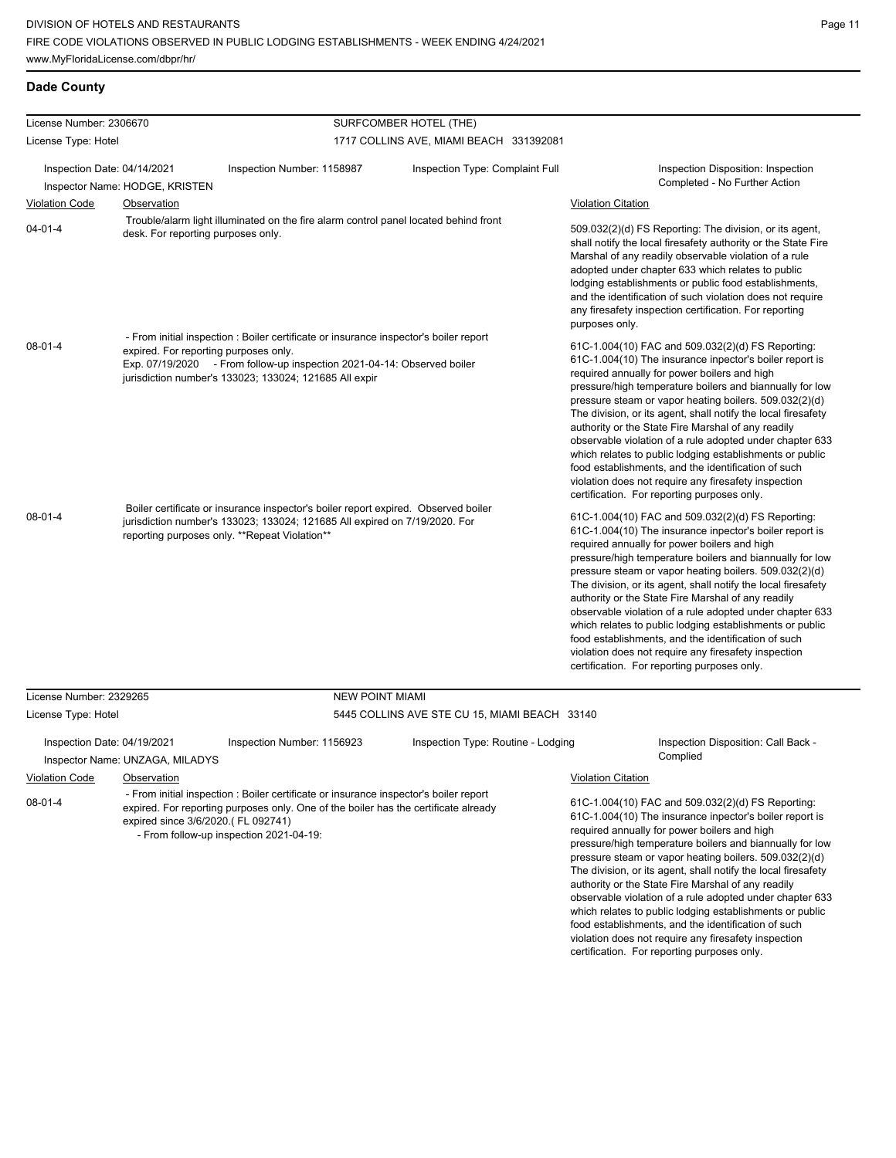food establishments, and the identification of such violation does not require any firesafety inspection certification. For reporting purposes only.

| License Number: 2306670                                                                                                                                                                                                                                                  |                                                                                                                                                                            |                                                                                                                                                                                                                   |                        | SURFCOMBER HOTEL (THE)                                                                             |                                                                                                                                                                                                                                                                                                                                                                                                                                                                                                                                                                                                                                                                                                 |                                                                                                                                                                                                                                                                                                                                                                                                                             |  |
|--------------------------------------------------------------------------------------------------------------------------------------------------------------------------------------------------------------------------------------------------------------------------|----------------------------------------------------------------------------------------------------------------------------------------------------------------------------|-------------------------------------------------------------------------------------------------------------------------------------------------------------------------------------------------------------------|------------------------|----------------------------------------------------------------------------------------------------|-------------------------------------------------------------------------------------------------------------------------------------------------------------------------------------------------------------------------------------------------------------------------------------------------------------------------------------------------------------------------------------------------------------------------------------------------------------------------------------------------------------------------------------------------------------------------------------------------------------------------------------------------------------------------------------------------|-----------------------------------------------------------------------------------------------------------------------------------------------------------------------------------------------------------------------------------------------------------------------------------------------------------------------------------------------------------------------------------------------------------------------------|--|
| License Type: Hotel                                                                                                                                                                                                                                                      |                                                                                                                                                                            |                                                                                                                                                                                                                   |                        | 1717 COLLINS AVE, MIAMI BEACH 331392081                                                            |                                                                                                                                                                                                                                                                                                                                                                                                                                                                                                                                                                                                                                                                                                 |                                                                                                                                                                                                                                                                                                                                                                                                                             |  |
| Inspection Date: 04/14/2021                                                                                                                                                                                                                                              |                                                                                                                                                                            | Inspection Number: 1158987                                                                                                                                                                                        |                        | Inspection Type: Complaint Full                                                                    |                                                                                                                                                                                                                                                                                                                                                                                                                                                                                                                                                                                                                                                                                                 | Inspection Disposition: Inspection<br>Completed - No Further Action                                                                                                                                                                                                                                                                                                                                                         |  |
|                                                                                                                                                                                                                                                                          | Inspector Name: HODGE, KRISTEN                                                                                                                                             |                                                                                                                                                                                                                   |                        |                                                                                                    |                                                                                                                                                                                                                                                                                                                                                                                                                                                                                                                                                                                                                                                                                                 |                                                                                                                                                                                                                                                                                                                                                                                                                             |  |
| <b>Violation Code</b>                                                                                                                                                                                                                                                    | <b>Observation</b>                                                                                                                                                         |                                                                                                                                                                                                                   |                        |                                                                                                    | <b>Violation Citation</b>                                                                                                                                                                                                                                                                                                                                                                                                                                                                                                                                                                                                                                                                       |                                                                                                                                                                                                                                                                                                                                                                                                                             |  |
| $04 - 01 - 4$                                                                                                                                                                                                                                                            | desk. For reporting purposes only.                                                                                                                                         | Trouble/alarm light illuminated on the fire alarm control panel located behind front                                                                                                                              |                        |                                                                                                    | 509.032(2)(d) FS Reporting: The division, or its agent,<br>shall notify the local firesafety authority or the State Fire<br>Marshal of any readily observable violation of a rule<br>adopted under chapter 633 which relates to public<br>lodging establishments or public food establishments,<br>and the identification of such violation does not require<br>any firesafety inspection certification. For reporting<br>purposes only.                                                                                                                                                                                                                                                        |                                                                                                                                                                                                                                                                                                                                                                                                                             |  |
| $08 - 01 - 4$                                                                                                                                                                                                                                                            |                                                                                                                                                                            | - From initial inspection : Boiler certificate or insurance inspector's boiler report                                                                                                                             |                        |                                                                                                    |                                                                                                                                                                                                                                                                                                                                                                                                                                                                                                                                                                                                                                                                                                 |                                                                                                                                                                                                                                                                                                                                                                                                                             |  |
|                                                                                                                                                                                                                                                                          | expired. For reporting purposes only.<br>Exp. 07/19/2020 - From follow-up inspection 2021-04-14: Observed boiler<br>jurisdiction number's 133023; 133024; 121685 All expir |                                                                                                                                                                                                                   |                        |                                                                                                    | 61C-1.004(10) FAC and 509.032(2)(d) FS Reporting:<br>61C-1.004(10) The insurance inpector's boiler report is<br>required annually for power boilers and high<br>pressure/high temperature boilers and biannually for low<br>pressure steam or vapor heating boilers. 509.032(2)(d)<br>The division, or its agent, shall notify the local firesafety<br>authority or the State Fire Marshal of any readily<br>observable violation of a rule adopted under chapter 633<br>which relates to public lodging establishments or public<br>food establishments, and the identification of such<br>violation does not require any firesafety inspection<br>certification. For reporting purposes only. |                                                                                                                                                                                                                                                                                                                                                                                                                             |  |
| $08 - 01 - 4$                                                                                                                                                                                                                                                            |                                                                                                                                                                            | Boiler certificate or insurance inspector's boiler report expired. Observed boiler<br>jurisdiction number's 133023; 133024; 121685 All expired on 7/19/2020. For<br>reporting purposes only. **Repeat Violation** |                        |                                                                                                    | required annually for power boilers and high<br>authority or the State Fire Marshal of any readily<br>food establishments, and the identification of such<br>violation does not require any firesafety inspection<br>certification. For reporting purposes only.                                                                                                                                                                                                                                                                                                                                                                                                                                | 61C-1.004(10) FAC and 509.032(2)(d) FS Reporting:<br>61C-1.004(10) The insurance inpector's boiler report is<br>pressure/high temperature boilers and biannually for low<br>pressure steam or vapor heating boilers. 509.032(2)(d)<br>The division, or its agent, shall notify the local firesafety<br>observable violation of a rule adopted under chapter 633<br>which relates to public lodging establishments or public |  |
| License Number: 2329265                                                                                                                                                                                                                                                  |                                                                                                                                                                            |                                                                                                                                                                                                                   | <b>NEW POINT MIAMI</b> |                                                                                                    |                                                                                                                                                                                                                                                                                                                                                                                                                                                                                                                                                                                                                                                                                                 |                                                                                                                                                                                                                                                                                                                                                                                                                             |  |
| License Type: Hotel                                                                                                                                                                                                                                                      |                                                                                                                                                                            |                                                                                                                                                                                                                   |                        | 5445 COLLINS AVE STE CU 15, MIAMI BEACH 33140                                                      |                                                                                                                                                                                                                                                                                                                                                                                                                                                                                                                                                                                                                                                                                                 |                                                                                                                                                                                                                                                                                                                                                                                                                             |  |
| Inspection Date: 04/19/2021                                                                                                                                                                                                                                              | Inspector Name: UNZAGA, MILADYS                                                                                                                                            | Inspection Number: 1156923                                                                                                                                                                                        |                        | Inspection Type: Routine - Lodging                                                                 | Complied                                                                                                                                                                                                                                                                                                                                                                                                                                                                                                                                                                                                                                                                                        | Inspection Disposition: Call Back -                                                                                                                                                                                                                                                                                                                                                                                         |  |
| <b>Violation Code</b>                                                                                                                                                                                                                                                    | Observation                                                                                                                                                                |                                                                                                                                                                                                                   |                        |                                                                                                    | <b>Violation Citation</b>                                                                                                                                                                                                                                                                                                                                                                                                                                                                                                                                                                                                                                                                       |                                                                                                                                                                                                                                                                                                                                                                                                                             |  |
| - From initial inspection : Boiler certificate or insurance inspector's boiler report<br>08-01-4<br>expired. For reporting purposes only. One of the boiler has the certificate already<br>expired since 3/6/2020.(FL 092741)<br>- From follow-up inspection 2021-04-19: |                                                                                                                                                                            |                                                                                                                                                                                                                   |                        | required annually for power boilers and high<br>authority or the State Fire Marshal of any readily | 61C-1.004(10) FAC and 509.032(2)(d) FS Reporting:<br>61C-1.004(10) The insurance inpector's boiler report is<br>pressure/high temperature boilers and biannually for low<br>pressure steam or vapor heating boilers. 509.032(2)(d)<br>The division, or its agent, shall notify the local firesafety<br>observable violation of a rule adopted under chapter 633<br>which relates to public lodging establishments or public                                                                                                                                                                                                                                                                     |                                                                                                                                                                                                                                                                                                                                                                                                                             |  |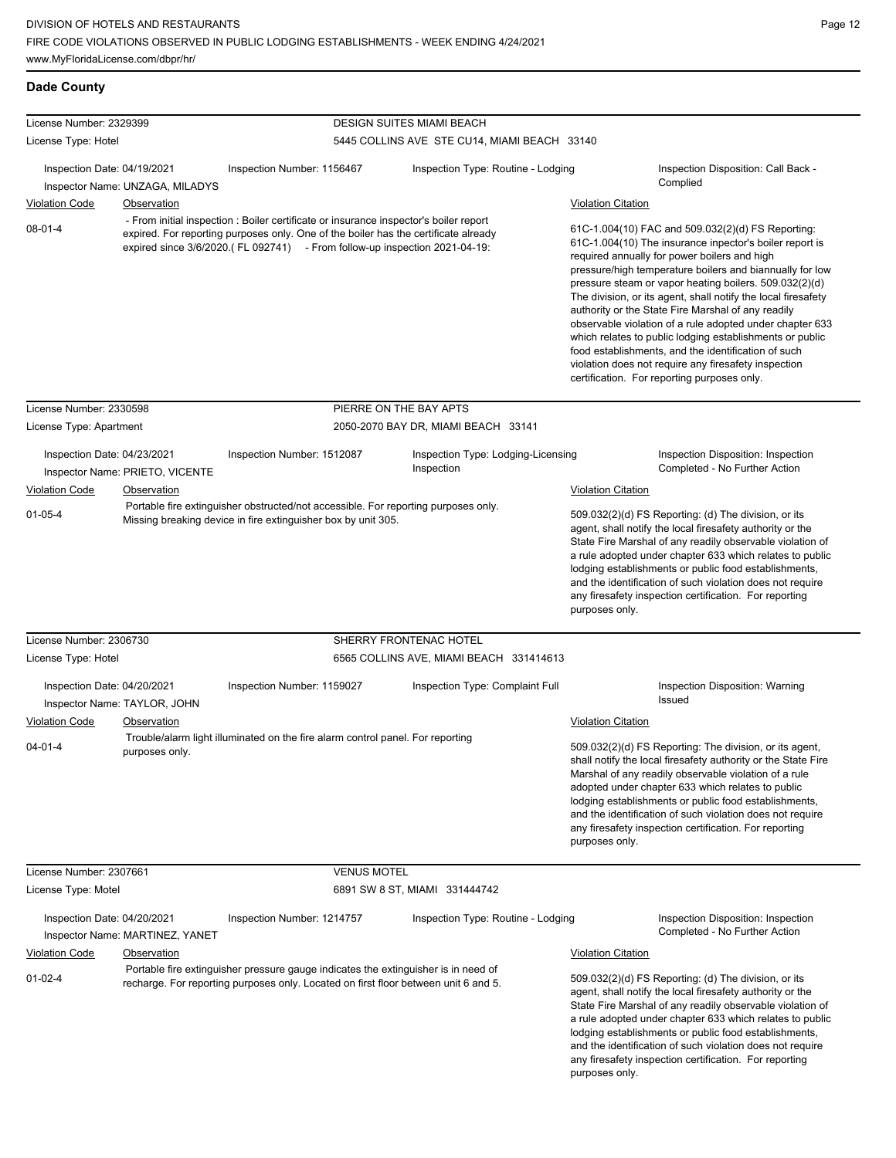**Dade County**

| License Number: 2329399     |                                 |                                                                                                                                                                                                                                                            | <b>DESIGN SUITES MIAMI BEACH</b>                 |                           |                                                                                                                                                                                                                                                                                                                                                                                                                                                                                                                                                                                                                                                                                                 |
|-----------------------------|---------------------------------|------------------------------------------------------------------------------------------------------------------------------------------------------------------------------------------------------------------------------------------------------------|--------------------------------------------------|---------------------------|-------------------------------------------------------------------------------------------------------------------------------------------------------------------------------------------------------------------------------------------------------------------------------------------------------------------------------------------------------------------------------------------------------------------------------------------------------------------------------------------------------------------------------------------------------------------------------------------------------------------------------------------------------------------------------------------------|
| License Type: Hotel         |                                 |                                                                                                                                                                                                                                                            | 5445 COLLINS AVE STE CU14, MIAMI BEACH 33140     |                           |                                                                                                                                                                                                                                                                                                                                                                                                                                                                                                                                                                                                                                                                                                 |
| Inspection Date: 04/19/2021 | Inspector Name: UNZAGA, MILADYS | Inspection Number: 1156467                                                                                                                                                                                                                                 | Inspection Type: Routine - Lodging               |                           | Inspection Disposition: Call Back -<br>Complied                                                                                                                                                                                                                                                                                                                                                                                                                                                                                                                                                                                                                                                 |
| <b>Violation Code</b>       | <b>Observation</b>              |                                                                                                                                                                                                                                                            |                                                  | <b>Violation Citation</b> |                                                                                                                                                                                                                                                                                                                                                                                                                                                                                                                                                                                                                                                                                                 |
| $08 - 01 - 4$               |                                 | - From initial inspection : Boiler certificate or insurance inspector's boiler report<br>expired. For reporting purposes only. One of the boiler has the certificate already<br>expired since 3/6/2020.(FL 092741) - From follow-up inspection 2021-04-19: |                                                  |                           | 61C-1.004(10) FAC and 509.032(2)(d) FS Reporting:<br>61C-1.004(10) The insurance inpector's boiler report is<br>required annually for power boilers and high<br>pressure/high temperature boilers and biannually for low<br>pressure steam or vapor heating boilers. 509.032(2)(d)<br>The division, or its agent, shall notify the local firesafety<br>authority or the State Fire Marshal of any readily<br>observable violation of a rule adopted under chapter 633<br>which relates to public lodging establishments or public<br>food establishments, and the identification of such<br>violation does not require any firesafety inspection<br>certification. For reporting purposes only. |
| License Number: 2330598     |                                 |                                                                                                                                                                                                                                                            | PIERRE ON THE BAY APTS                           |                           |                                                                                                                                                                                                                                                                                                                                                                                                                                                                                                                                                                                                                                                                                                 |
| License Type: Apartment     |                                 |                                                                                                                                                                                                                                                            | 2050-2070 BAY DR, MIAMI BEACH 33141              |                           |                                                                                                                                                                                                                                                                                                                                                                                                                                                                                                                                                                                                                                                                                                 |
| Inspection Date: 04/23/2021 | Inspector Name: PRIETO, VICENTE | Inspection Number: 1512087                                                                                                                                                                                                                                 | Inspection Type: Lodging-Licensing<br>Inspection |                           | Inspection Disposition: Inspection<br>Completed - No Further Action                                                                                                                                                                                                                                                                                                                                                                                                                                                                                                                                                                                                                             |
| <b>Violation Code</b>       | Observation                     | Portable fire extinguisher obstructed/not accessible. For reporting purposes only.                                                                                                                                                                         |                                                  | <b>Violation Citation</b> |                                                                                                                                                                                                                                                                                                                                                                                                                                                                                                                                                                                                                                                                                                 |
| $01 - 05 - 4$               |                                 | Missing breaking device in fire extinguisher box by unit 305.                                                                                                                                                                                              |                                                  | purposes only.            | 509.032(2)(d) FS Reporting: (d) The division, or its<br>agent, shall notify the local firesafety authority or the<br>State Fire Marshal of any readily observable violation of<br>a rule adopted under chapter 633 which relates to public<br>lodging establishments or public food establishments,<br>and the identification of such violation does not require<br>any firesafety inspection certification. For reporting                                                                                                                                                                                                                                                                      |
| License Number: 2306730     |                                 |                                                                                                                                                                                                                                                            | SHERRY FRONTENAC HOTEL                           |                           |                                                                                                                                                                                                                                                                                                                                                                                                                                                                                                                                                                                                                                                                                                 |
| License Type: Hotel         |                                 |                                                                                                                                                                                                                                                            | 6565 COLLINS AVE, MIAMI BEACH 331414613          |                           |                                                                                                                                                                                                                                                                                                                                                                                                                                                                                                                                                                                                                                                                                                 |
| Inspection Date: 04/20/2021 | Inspector Name: TAYLOR, JOHN    | Inspection Number: 1159027                                                                                                                                                                                                                                 | Inspection Type: Complaint Full                  |                           | Inspection Disposition: Warning<br>Issued                                                                                                                                                                                                                                                                                                                                                                                                                                                                                                                                                                                                                                                       |
| <b>Violation Code</b>       | <b>Observation</b>              |                                                                                                                                                                                                                                                            |                                                  | <b>Violation Citation</b> |                                                                                                                                                                                                                                                                                                                                                                                                                                                                                                                                                                                                                                                                                                 |
| $04 - 01 - 4$               | purposes only.                  | Trouble/alarm light illuminated on the fire alarm control panel. For reporting                                                                                                                                                                             |                                                  | purposes only.            | 509.032(2)(d) FS Reporting: The division, or its agent,<br>shall notify the local firesafety authority or the State Fire<br>Marshal of any readily observable violation of a rule<br>adopted under chapter 633 which relates to public<br>lodging establishments or public food establishments,<br>and the identification of such violation does not require<br>any firesafety inspection certification. For reporting                                                                                                                                                                                                                                                                          |
| License Number: 2307661     |                                 | <b>VENUS MOTEL</b>                                                                                                                                                                                                                                         |                                                  |                           |                                                                                                                                                                                                                                                                                                                                                                                                                                                                                                                                                                                                                                                                                                 |
| License Type: Motel         |                                 |                                                                                                                                                                                                                                                            | 6891 SW 8 ST, MIAMI 331444742                    |                           |                                                                                                                                                                                                                                                                                                                                                                                                                                                                                                                                                                                                                                                                                                 |
| Inspection Date: 04/20/2021 | Inspector Name: MARTINEZ, YANET | Inspection Number: 1214757                                                                                                                                                                                                                                 | Inspection Type: Routine - Lodging               |                           | Inspection Disposition: Inspection<br>Completed - No Further Action                                                                                                                                                                                                                                                                                                                                                                                                                                                                                                                                                                                                                             |
| <b>Violation Code</b>       | Observation                     |                                                                                                                                                                                                                                                            |                                                  | <b>Violation Citation</b> |                                                                                                                                                                                                                                                                                                                                                                                                                                                                                                                                                                                                                                                                                                 |
| $01 - 02 - 4$               |                                 | Portable fire extinguisher pressure gauge indicates the extinguisher is in need of<br>recharge. For reporting purposes only. Located on first floor between unit 6 and 5.                                                                                  |                                                  | purposes only.            | 509.032(2)(d) FS Reporting: (d) The division, or its<br>agent, shall notify the local firesafety authority or the<br>State Fire Marshal of any readily observable violation of<br>a rule adopted under chapter 633 which relates to public<br>lodging establishments or public food establishments,<br>and the identification of such violation does not require<br>any firesafety inspection certification. For reporting                                                                                                                                                                                                                                                                      |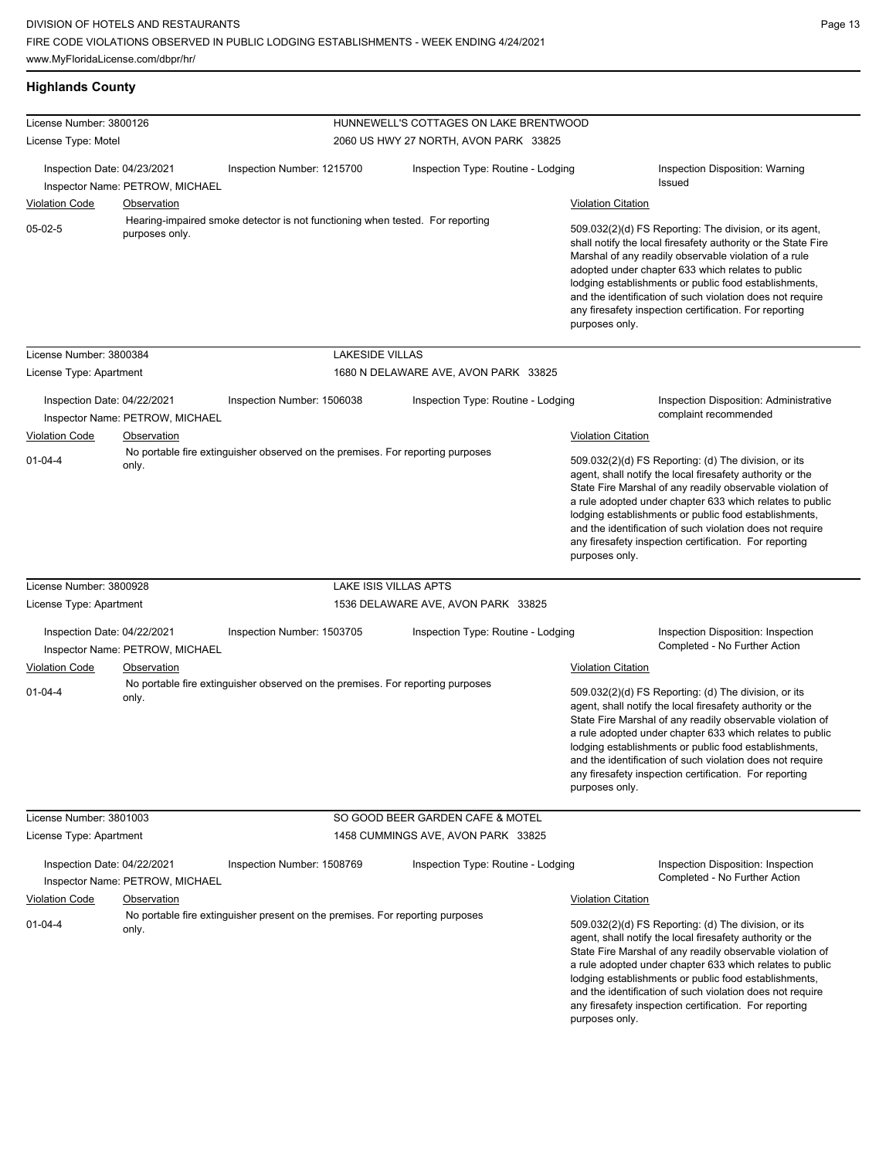| <b>Highlands County</b>                |                                 |                                                                                |                                        |                                             |                                                                                                                                                                                                                                                                                                                                                                                                                            |
|----------------------------------------|---------------------------------|--------------------------------------------------------------------------------|----------------------------------------|---------------------------------------------|----------------------------------------------------------------------------------------------------------------------------------------------------------------------------------------------------------------------------------------------------------------------------------------------------------------------------------------------------------------------------------------------------------------------------|
| License Number: 3800126                |                                 |                                                                                | HUNNEWELL'S COTTAGES ON LAKE BRENTWOOD |                                             |                                                                                                                                                                                                                                                                                                                                                                                                                            |
| License Type: Motel                    |                                 |                                                                                | 2060 US HWY 27 NORTH, AVON PARK 33825  |                                             |                                                                                                                                                                                                                                                                                                                                                                                                                            |
| Inspection Date: 04/23/2021            | Inspector Name: PETROW, MICHAEL | Inspection Number: 1215700                                                     | Inspection Type: Routine - Lodging     |                                             | Inspection Disposition: Warning<br><b>Issued</b>                                                                                                                                                                                                                                                                                                                                                                           |
| <b>Violation Code</b>                  | <b>Observation</b>              |                                                                                |                                        | <b>Violation Citation</b>                   |                                                                                                                                                                                                                                                                                                                                                                                                                            |
| $05-02-5$                              | purposes only.                  | Hearing-impaired smoke detector is not functioning when tested. For reporting  |                                        | purposes only.                              | 509.032(2)(d) FS Reporting: The division, or its agent,<br>shall notify the local firesafety authority or the State Fire<br>Marshal of any readily observable violation of a rule<br>adopted under chapter 633 which relates to public<br>lodging establishments or public food establishments,<br>and the identification of such violation does not require<br>any firesafety inspection certification. For reporting     |
| License Number: 3800384                |                                 | <b>LAKESIDE VILLAS</b>                                                         |                                        |                                             |                                                                                                                                                                                                                                                                                                                                                                                                                            |
| License Type: Apartment                |                                 |                                                                                | 1680 N DELAWARE AVE, AVON PARK 33825   |                                             |                                                                                                                                                                                                                                                                                                                                                                                                                            |
| Inspection Date: 04/22/2021            | Inspector Name: PETROW, MICHAEL | Inspection Number: 1506038                                                     | Inspection Type: Routine - Lodging     |                                             | <b>Inspection Disposition: Administrative</b><br>complaint recommended                                                                                                                                                                                                                                                                                                                                                     |
| <b>Violation Code</b><br>$01 - 04 - 4$ | Observation<br>only.            | No portable fire extinguisher observed on the premises. For reporting purposes |                                        | <b>Violation Citation</b><br>purposes only. | 509.032(2)(d) FS Reporting: (d) The division, or its<br>agent, shall notify the local firesafety authority or the<br>State Fire Marshal of any readily observable violation of<br>a rule adopted under chapter 633 which relates to public<br>lodging establishments or public food establishments,<br>and the identification of such violation does not require<br>any firesafety inspection certification. For reporting |
| License Number: 3800928                |                                 |                                                                                | LAKE ISIS VILLAS APTS                  |                                             |                                                                                                                                                                                                                                                                                                                                                                                                                            |
| License Type: Apartment                |                                 |                                                                                | 1536 DELAWARE AVE, AVON PARK 33825     |                                             |                                                                                                                                                                                                                                                                                                                                                                                                                            |
| Inspection Date: 04/22/2021            | Inspector Name: PETROW, MICHAEL | Inspection Number: 1503705                                                     | Inspection Type: Routine - Lodging     |                                             | Inspection Disposition: Inspection<br>Completed - No Further Action                                                                                                                                                                                                                                                                                                                                                        |
| Violation Code                         | Observation                     |                                                                                |                                        | <b>Violation Citation</b>                   |                                                                                                                                                                                                                                                                                                                                                                                                                            |
| $01 - 04 - 4$                          | only.                           | No portable fire extinguisher observed on the premises. For reporting purposes |                                        | purposes only.                              | 509.032(2)(d) FS Reporting: (d) The division, or its<br>agent, shall notify the local firesafety authority or the<br>State Fire Marshal of any readily observable violation of<br>a rule adopted under chapter 633 which relates to public<br>lodging establishments or public food establishments,<br>and the identification of such violation does not require<br>any firesafety inspection certification. For reporting |
| License Number: 3801003                |                                 |                                                                                | SO GOOD BEER GARDEN CAFE & MOTEL       |                                             |                                                                                                                                                                                                                                                                                                                                                                                                                            |
| License Type: Apartment                |                                 |                                                                                | 1458 CUMMINGS AVE, AVON PARK 33825     |                                             |                                                                                                                                                                                                                                                                                                                                                                                                                            |
| Inspection Date: 04/22/2021            | Inspector Name: PETROW, MICHAEL | Inspection Number: 1508769                                                     | Inspection Type: Routine - Lodging     |                                             | Inspection Disposition: Inspection<br>Completed - No Further Action                                                                                                                                                                                                                                                                                                                                                        |
| <b>Violation Code</b>                  | Observation                     |                                                                                |                                        | <b>Violation Citation</b>                   |                                                                                                                                                                                                                                                                                                                                                                                                                            |
| $01 - 04 - 4$                          | only.                           | No portable fire extinguisher present on the premises. For reporting purposes  |                                        | purposes only.                              | 509.032(2)(d) FS Reporting: (d) The division, or its<br>agent, shall notify the local firesafety authority or the<br>State Fire Marshal of any readily observable violation of<br>a rule adopted under chapter 633 which relates to public<br>lodging establishments or public food establishments,<br>and the identification of such violation does not require<br>any firesafety inspection certification. For reporting |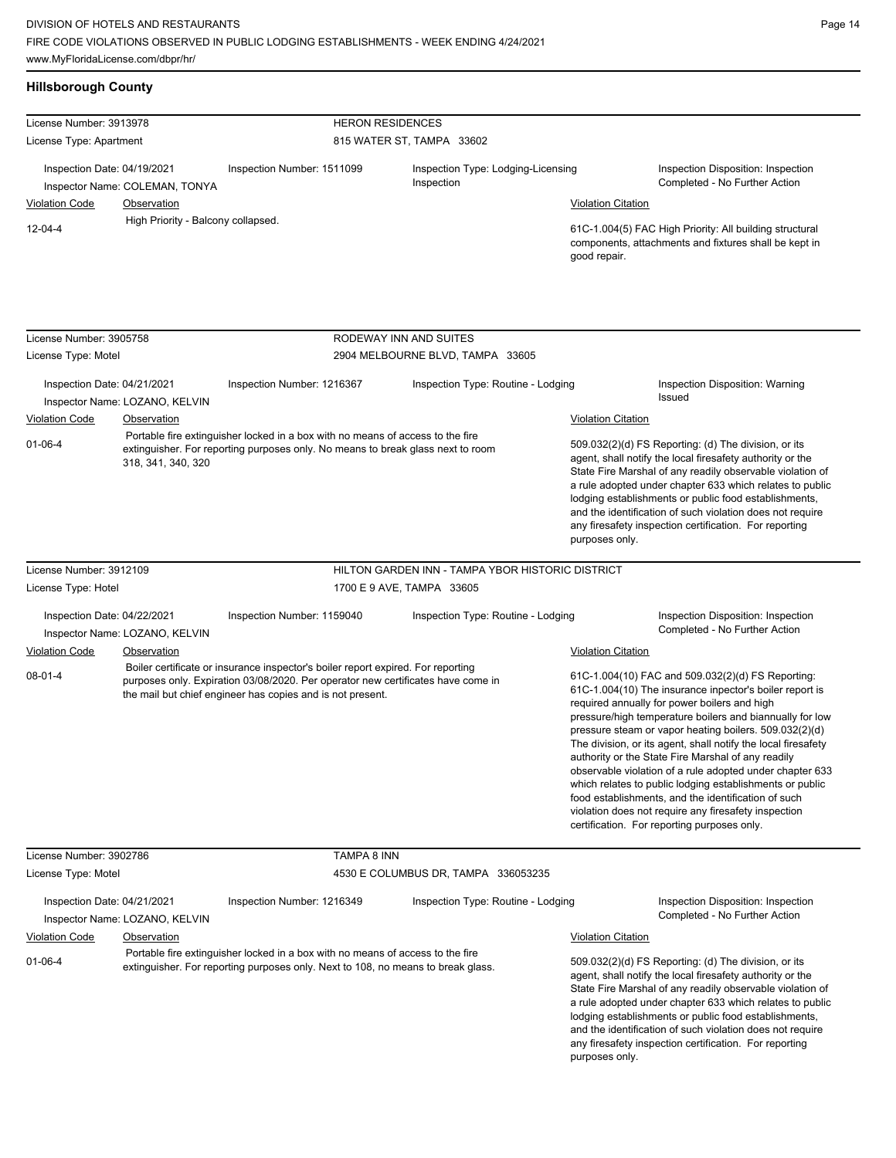| <b>Hillsborough County</b>                                    |                                                   |                                                                                                                                                                                                                                    |                                                  |                                                                                                                                                                                                                                                                                                                                                                                                                                              |                                                                                                                                                                                                                                                                                                                                                                                                                                                                                                                                                                                                                                                                                                 |  |
|---------------------------------------------------------------|---------------------------------------------------|------------------------------------------------------------------------------------------------------------------------------------------------------------------------------------------------------------------------------------|--------------------------------------------------|----------------------------------------------------------------------------------------------------------------------------------------------------------------------------------------------------------------------------------------------------------------------------------------------------------------------------------------------------------------------------------------------------------------------------------------------|-------------------------------------------------------------------------------------------------------------------------------------------------------------------------------------------------------------------------------------------------------------------------------------------------------------------------------------------------------------------------------------------------------------------------------------------------------------------------------------------------------------------------------------------------------------------------------------------------------------------------------------------------------------------------------------------------|--|
| License Number: 3913978                                       |                                                   | <b>HERON RESIDENCES</b>                                                                                                                                                                                                            |                                                  |                                                                                                                                                                                                                                                                                                                                                                                                                                              |                                                                                                                                                                                                                                                                                                                                                                                                                                                                                                                                                                                                                                                                                                 |  |
| License Type: Apartment                                       |                                                   |                                                                                                                                                                                                                                    | 815 WATER ST, TAMPA 33602                        |                                                                                                                                                                                                                                                                                                                                                                                                                                              |                                                                                                                                                                                                                                                                                                                                                                                                                                                                                                                                                                                                                                                                                                 |  |
| Inspection Date: 04/19/2021<br>Inspector Name: COLEMAN, TONYA |                                                   | Inspection Number: 1511099                                                                                                                                                                                                         | Inspection Type: Lodging-Licensing<br>Inspection |                                                                                                                                                                                                                                                                                                                                                                                                                                              | Inspection Disposition: Inspection<br>Completed - No Further Action                                                                                                                                                                                                                                                                                                                                                                                                                                                                                                                                                                                                                             |  |
| <b>Violation Code</b>                                         | Observation<br>High Priority - Balcony collapsed. |                                                                                                                                                                                                                                    |                                                  | <b>Violation Citation</b>                                                                                                                                                                                                                                                                                                                                                                                                                    |                                                                                                                                                                                                                                                                                                                                                                                                                                                                                                                                                                                                                                                                                                 |  |
| $12 - 04 - 4$                                                 |                                                   |                                                                                                                                                                                                                                    |                                                  | good repair.                                                                                                                                                                                                                                                                                                                                                                                                                                 | 61C-1.004(5) FAC High Priority: All building structural<br>components, attachments and fixtures shall be kept in                                                                                                                                                                                                                                                                                                                                                                                                                                                                                                                                                                                |  |
|                                                               |                                                   |                                                                                                                                                                                                                                    |                                                  |                                                                                                                                                                                                                                                                                                                                                                                                                                              |                                                                                                                                                                                                                                                                                                                                                                                                                                                                                                                                                                                                                                                                                                 |  |
| License Number: 3905758                                       |                                                   |                                                                                                                                                                                                                                    | RODEWAY INN AND SUITES                           |                                                                                                                                                                                                                                                                                                                                                                                                                                              |                                                                                                                                                                                                                                                                                                                                                                                                                                                                                                                                                                                                                                                                                                 |  |
| License Type: Motel                                           |                                                   |                                                                                                                                                                                                                                    | 2904 MELBOURNE BLVD, TAMPA 33605                 |                                                                                                                                                                                                                                                                                                                                                                                                                                              |                                                                                                                                                                                                                                                                                                                                                                                                                                                                                                                                                                                                                                                                                                 |  |
| Inspection Date: 04/21/2021                                   | Inspector Name: LOZANO, KELVIN                    | Inspection Number: 1216367                                                                                                                                                                                                         | Inspection Type: Routine - Lodging               |                                                                                                                                                                                                                                                                                                                                                                                                                                              | Inspection Disposition: Warning<br>Issued                                                                                                                                                                                                                                                                                                                                                                                                                                                                                                                                                                                                                                                       |  |
| <b>Violation Code</b>                                         | Observation                                       |                                                                                                                                                                                                                                    |                                                  | <b>Violation Citation</b>                                                                                                                                                                                                                                                                                                                                                                                                                    |                                                                                                                                                                                                                                                                                                                                                                                                                                                                                                                                                                                                                                                                                                 |  |
| $01 - 06 - 4$                                                 | 318, 341, 340, 320                                | Portable fire extinguisher locked in a box with no means of access to the fire<br>extinguisher. For reporting purposes only. No means to break glass next to room                                                                  |                                                  | 509.032(2)(d) FS Reporting: (d) The division, or its<br>agent, shall notify the local firesafety authority or the<br>State Fire Marshal of any readily observable violation of<br>a rule adopted under chapter 633 which relates to public<br>lodging establishments or public food establishments,<br>and the identification of such violation does not require<br>any firesafety inspection certification. For reporting<br>purposes only. |                                                                                                                                                                                                                                                                                                                                                                                                                                                                                                                                                                                                                                                                                                 |  |
| License Number: 3912109                                       |                                                   |                                                                                                                                                                                                                                    | HILTON GARDEN INN - TAMPA YBOR HISTORIC DISTRICT |                                                                                                                                                                                                                                                                                                                                                                                                                                              |                                                                                                                                                                                                                                                                                                                                                                                                                                                                                                                                                                                                                                                                                                 |  |
| License Type: Hotel                                           |                                                   |                                                                                                                                                                                                                                    | 1700 E 9 AVE, TAMPA 33605                        |                                                                                                                                                                                                                                                                                                                                                                                                                                              |                                                                                                                                                                                                                                                                                                                                                                                                                                                                                                                                                                                                                                                                                                 |  |
| Inspection Date: 04/22/2021                                   | Inspector Name: LOZANO, KELVIN                    | Inspection Number: 1159040                                                                                                                                                                                                         | Inspection Type: Routine - Lodging               |                                                                                                                                                                                                                                                                                                                                                                                                                                              | Inspection Disposition: Inspection<br>Completed - No Further Action                                                                                                                                                                                                                                                                                                                                                                                                                                                                                                                                                                                                                             |  |
| <b>Violation Code</b>                                         | Observation                                       |                                                                                                                                                                                                                                    |                                                  | <b>Violation Citation</b>                                                                                                                                                                                                                                                                                                                                                                                                                    |                                                                                                                                                                                                                                                                                                                                                                                                                                                                                                                                                                                                                                                                                                 |  |
| $08 - 01 - 4$                                                 |                                                   | Boiler certificate or insurance inspector's boiler report expired. For reporting<br>purposes only. Expiration 03/08/2020. Per operator new certificates have come in<br>the mail but chief engineer has copies and is not present. |                                                  |                                                                                                                                                                                                                                                                                                                                                                                                                                              | 61C-1.004(10) FAC and 509.032(2)(d) FS Reporting:<br>61C-1.004(10) The insurance inpector's boiler report is<br>required annually for power boilers and high<br>pressure/high temperature boilers and biannually for low<br>pressure steam or vapor heating boilers. 509.032(2)(d)<br>The division, or its agent, shall notify the local firesafety<br>authority or the State Fire Marshal of any readily<br>observable violation of a rule adopted under chapter 633<br>which relates to public lodging establishments or public<br>food establishments, and the identification of such<br>violation does not require any firesafety inspection<br>certification. For reporting purposes only. |  |
| License Number: 3902786                                       |                                                   | <b>TAMPA 8 INN</b>                                                                                                                                                                                                                 |                                                  |                                                                                                                                                                                                                                                                                                                                                                                                                                              |                                                                                                                                                                                                                                                                                                                                                                                                                                                                                                                                                                                                                                                                                                 |  |
| License Type: Motel                                           |                                                   |                                                                                                                                                                                                                                    | 4530 E COLUMBUS DR, TAMPA 336053235              |                                                                                                                                                                                                                                                                                                                                                                                                                                              |                                                                                                                                                                                                                                                                                                                                                                                                                                                                                                                                                                                                                                                                                                 |  |
| Inenection Date: 04/21/2021                                   |                                                   | Inspection Number: 1216349                                                                                                                                                                                                         | Inspection Type: Routine - Lodging               |                                                                                                                                                                                                                                                                                                                                                                                                                                              | Inspection Disposition: Inspection                                                                                                                                                                                                                                                                                                                                                                                                                                                                                                                                                                                                                                                              |  |

Inspection Date: 04/21/2021 Inspection Number: 1216349 Inspection Type: Routine - Lodging Inspection Disposition: Inspection<br>Inspector Name: I OZANO\_KELVIN Inspector Name: LOZANO, KELVIN Violation Code Observation Violation Citation 509.032(2)(d) FS Reporting: (d) The division, or its agent, shall notify the local firesafety authority or the State Fire Marshal of any readily observable violation of a rule adopted under chapter 633 which relates to public lodging establishments or public food establishments, and the identification of such violation does not require 01-06-4 Portable fire extinguisher locked in a box with no means of access to the fire extinguisher. For reporting purposes only. Next to 108, no means to break glass.

any firesafety inspection certification. For reporting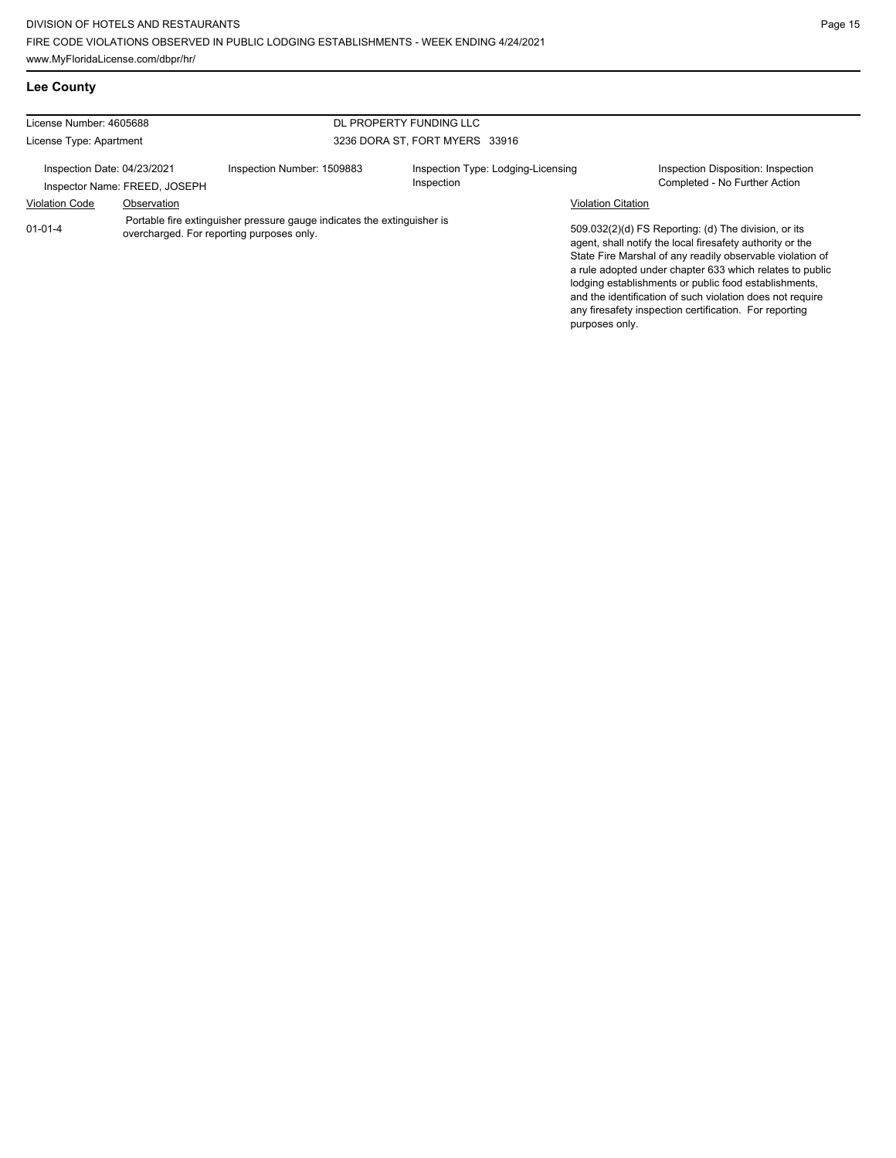## **Lee County**

| License Number: 4605688                                      |             |                                                                                                                      | DL PROPERTY FUNDING LLC                          |                           |                                                                                                                                                                                                                                                                                                                                                                                                                            |
|--------------------------------------------------------------|-------------|----------------------------------------------------------------------------------------------------------------------|--------------------------------------------------|---------------------------|----------------------------------------------------------------------------------------------------------------------------------------------------------------------------------------------------------------------------------------------------------------------------------------------------------------------------------------------------------------------------------------------------------------------------|
| License Type: Apartment                                      |             |                                                                                                                      | 3236 DORA ST, FORT MYERS 33916                   |                           |                                                                                                                                                                                                                                                                                                                                                                                                                            |
| Inspection Date: 04/23/2021<br>Inspector Name: FREED, JOSEPH |             | Inspection Number: 1509883                                                                                           | Inspection Type: Lodging-Licensing<br>Inspection |                           | Inspection Disposition: Inspection<br>Completed - No Further Action                                                                                                                                                                                                                                                                                                                                                        |
| <b>Violation Code</b>                                        | Observation |                                                                                                                      |                                                  | <b>Violation Citation</b> |                                                                                                                                                                                                                                                                                                                                                                                                                            |
| $01 - 01 - 4$                                                |             | Portable fire extinguisher pressure gauge indicates the extinguisher is<br>overcharged. For reporting purposes only. |                                                  | purposes only.            | 509.032(2)(d) FS Reporting: (d) The division, or its<br>agent, shall notify the local firesafety authority or the<br>State Fire Marshal of any readily observable violation of<br>a rule adopted under chapter 633 which relates to public<br>lodging establishments or public food establishments,<br>and the identification of such violation does not require<br>any firesafety inspection certification. For reporting |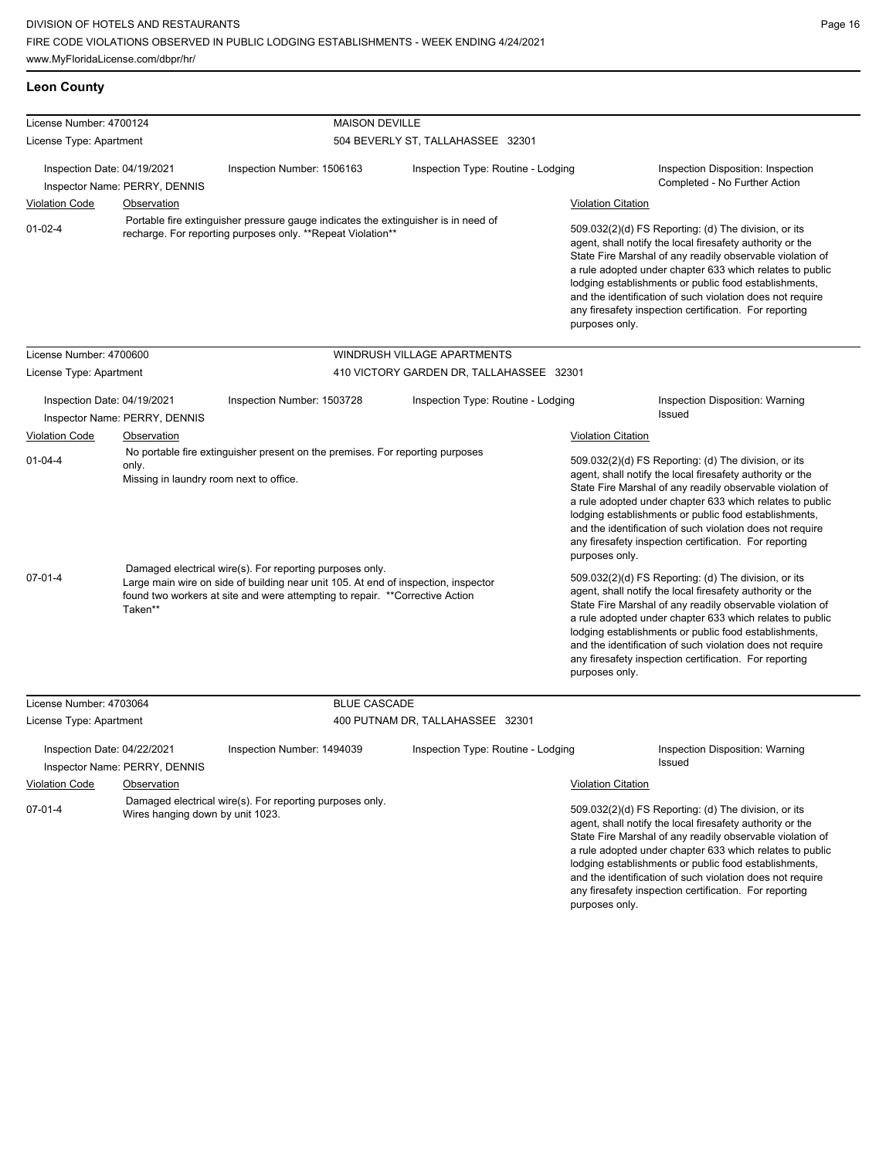| <b>Leon County</b>          |                                                  |                                                                                                                                                                                                                                |                                                                                    |                           |                                                                                                                                                                                                                                                                                                                                                                                                                                              |  |
|-----------------------------|--------------------------------------------------|--------------------------------------------------------------------------------------------------------------------------------------------------------------------------------------------------------------------------------|------------------------------------------------------------------------------------|---------------------------|----------------------------------------------------------------------------------------------------------------------------------------------------------------------------------------------------------------------------------------------------------------------------------------------------------------------------------------------------------------------------------------------------------------------------------------------|--|
| License Number: 4700124     |                                                  | <b>MAISON DEVILLE</b>                                                                                                                                                                                                          |                                                                                    |                           |                                                                                                                                                                                                                                                                                                                                                                                                                                              |  |
| License Type: Apartment     |                                                  |                                                                                                                                                                                                                                | 504 BEVERLY ST, TALLAHASSEE 32301                                                  |                           |                                                                                                                                                                                                                                                                                                                                                                                                                                              |  |
| Inspection Date: 04/19/2021 | Inspector Name: PERRY, DENNIS                    | Inspection Number: 1506163                                                                                                                                                                                                     | Inspection Type: Routine - Lodging                                                 |                           | Inspection Disposition: Inspection<br>Completed - No Further Action                                                                                                                                                                                                                                                                                                                                                                          |  |
| <b>Violation Code</b>       | <b>Observation</b>                               |                                                                                                                                                                                                                                |                                                                                    | <b>Violation Citation</b> |                                                                                                                                                                                                                                                                                                                                                                                                                                              |  |
| $01 - 02 - 4$               |                                                  | recharge. For reporting purposes only. **Repeat Violation**                                                                                                                                                                    | Portable fire extinguisher pressure gauge indicates the extinguisher is in need of |                           | 509.032(2)(d) FS Reporting: (d) The division, or its<br>agent, shall notify the local firesafety authority or the<br>State Fire Marshal of any readily observable violation of<br>a rule adopted under chapter 633 which relates to public<br>lodging establishments or public food establishments,<br>and the identification of such violation does not require<br>any firesafety inspection certification. For reporting<br>purposes only. |  |
| License Number: 4700600     |                                                  |                                                                                                                                                                                                                                | WINDRUSH VILLAGE APARTMENTS                                                        |                           |                                                                                                                                                                                                                                                                                                                                                                                                                                              |  |
| License Type: Apartment     |                                                  |                                                                                                                                                                                                                                | 410 VICTORY GARDEN DR, TALLAHASSEE 32301                                           |                           |                                                                                                                                                                                                                                                                                                                                                                                                                                              |  |
| Inspection Date: 04/19/2021 | Inspector Name: PERRY, DENNIS                    | Inspection Number: 1503728                                                                                                                                                                                                     | Inspection Type: Routine - Lodging                                                 |                           | Inspection Disposition: Warning<br>Issued                                                                                                                                                                                                                                                                                                                                                                                                    |  |
| <b>Violation Code</b>       | Observation                                      |                                                                                                                                                                                                                                |                                                                                    | <b>Violation Citation</b> |                                                                                                                                                                                                                                                                                                                                                                                                                                              |  |
| $01 - 04 - 4$               | only.<br>Missing in laundry room next to office. | No portable fire extinguisher present on the premises. For reporting purposes                                                                                                                                                  |                                                                                    | purposes only.            | 509.032(2)(d) FS Reporting: (d) The division, or its<br>agent, shall notify the local firesafety authority or the<br>State Fire Marshal of any readily observable violation of<br>a rule adopted under chapter 633 which relates to public<br>lodging establishments or public food establishments,<br>and the identification of such violation does not require<br>any firesafety inspection certification. For reporting                   |  |
| 07-01-4                     | Taken**                                          | Damaged electrical wire(s). For reporting purposes only.<br>Large main wire on side of building near unit 105. At end of inspection, inspector<br>found two workers at site and were attempting to repair. **Corrective Action |                                                                                    | purposes only.            | 509.032(2)(d) FS Reporting: (d) The division, or its<br>agent, shall notify the local firesafety authority or the<br>State Fire Marshal of any readily observable violation of<br>a rule adopted under chapter 633 which relates to public<br>lodging establishments or public food establishments,<br>and the identification of such violation does not require<br>any firesafety inspection certification. For reporting                   |  |
| License Number: 4703064     |                                                  | <b>BLUE CASCADE</b>                                                                                                                                                                                                            |                                                                                    |                           |                                                                                                                                                                                                                                                                                                                                                                                                                                              |  |
| License Type: Apartment     |                                                  |                                                                                                                                                                                                                                | 400 PUTNAM DR, TALLAHASSEE 32301                                                   |                           |                                                                                                                                                                                                                                                                                                                                                                                                                                              |  |
| Inspection Date: 04/22/2021 | Inspector Name: PERRY, DENNIS                    | Inspection Number: 1494039                                                                                                                                                                                                     | Inspection Type: Routine - Lodging                                                 |                           | Inspection Disposition: Warning<br>Issued                                                                                                                                                                                                                                                                                                                                                                                                    |  |
| <b>Violation Code</b>       | Observation                                      |                                                                                                                                                                                                                                |                                                                                    | <b>Violation Citation</b> |                                                                                                                                                                                                                                                                                                                                                                                                                                              |  |
| $07 - 01 - 4$               | Wires hanging down by unit 1023.                 | Damaged electrical wire(s). For reporting purposes only.                                                                                                                                                                       |                                                                                    |                           | 509.032(2)(d) FS Reporting: (d) The division, or its<br>agent, shall notify the local firesafety authority or the<br>State Fire Marshal of any readily observable violation of<br>a rule adopted under chapter 633 which relates to public<br>lodging establishments or public food establishments,<br>and the identification of such violation does not require<br>any firesafety inspection certification. For reporting                   |  |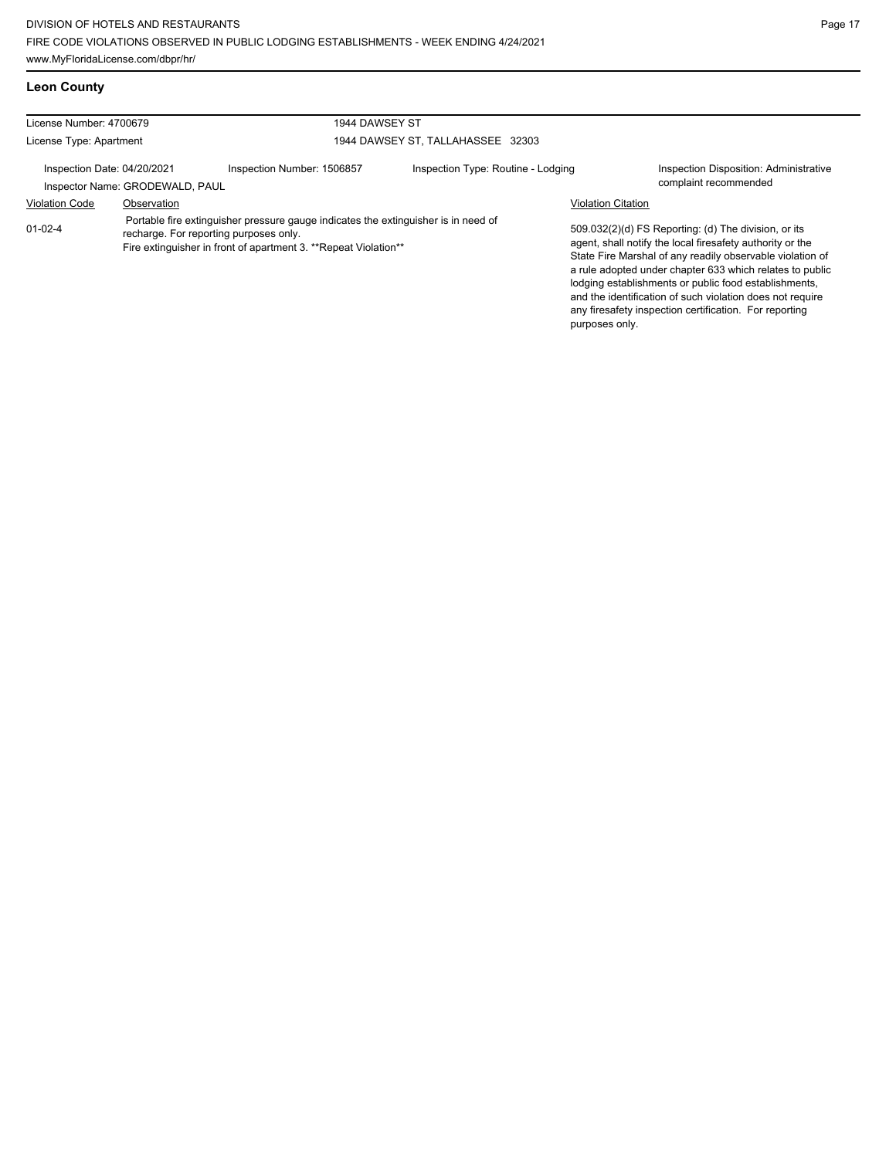**Leon County**

| License Number: 4700679            |                                 | 1944 DAWSEY ST                                                                                                                                                                                  |                                    |                                             |                                                                                                                                                                                                                                                                                                                                                                                                                            |
|------------------------------------|---------------------------------|-------------------------------------------------------------------------------------------------------------------------------------------------------------------------------------------------|------------------------------------|---------------------------------------------|----------------------------------------------------------------------------------------------------------------------------------------------------------------------------------------------------------------------------------------------------------------------------------------------------------------------------------------------------------------------------------------------------------------------------|
| License Type: Apartment            |                                 |                                                                                                                                                                                                 | 1944 DAWSEY ST, TALLAHASSEE 32303  |                                             |                                                                                                                                                                                                                                                                                                                                                                                                                            |
| Inspection Date: 04/20/2021        | Inspector Name: GRODEWALD, PAUL | Inspection Number: 1506857                                                                                                                                                                      | Inspection Type: Routine - Lodging |                                             | Inspection Disposition: Administrative<br>complaint recommended                                                                                                                                                                                                                                                                                                                                                            |
| <b>Violation Code</b><br>$01-02-4$ | Observation                     | Portable fire extinguisher pressure gauge indicates the extinguisher is in need of<br>recharge. For reporting purposes only.<br>Fire extinguisher in front of apartment 3. **Repeat Violation** |                                    | <b>Violation Citation</b><br>purposes only. | 509.032(2)(d) FS Reporting: (d) The division, or its<br>agent, shall notify the local firesafety authority or the<br>State Fire Marshal of any readily observable violation of<br>a rule adopted under chapter 633 which relates to public<br>lodging establishments or public food establishments,<br>and the identification of such violation does not require<br>any firesafety inspection certification. For reporting |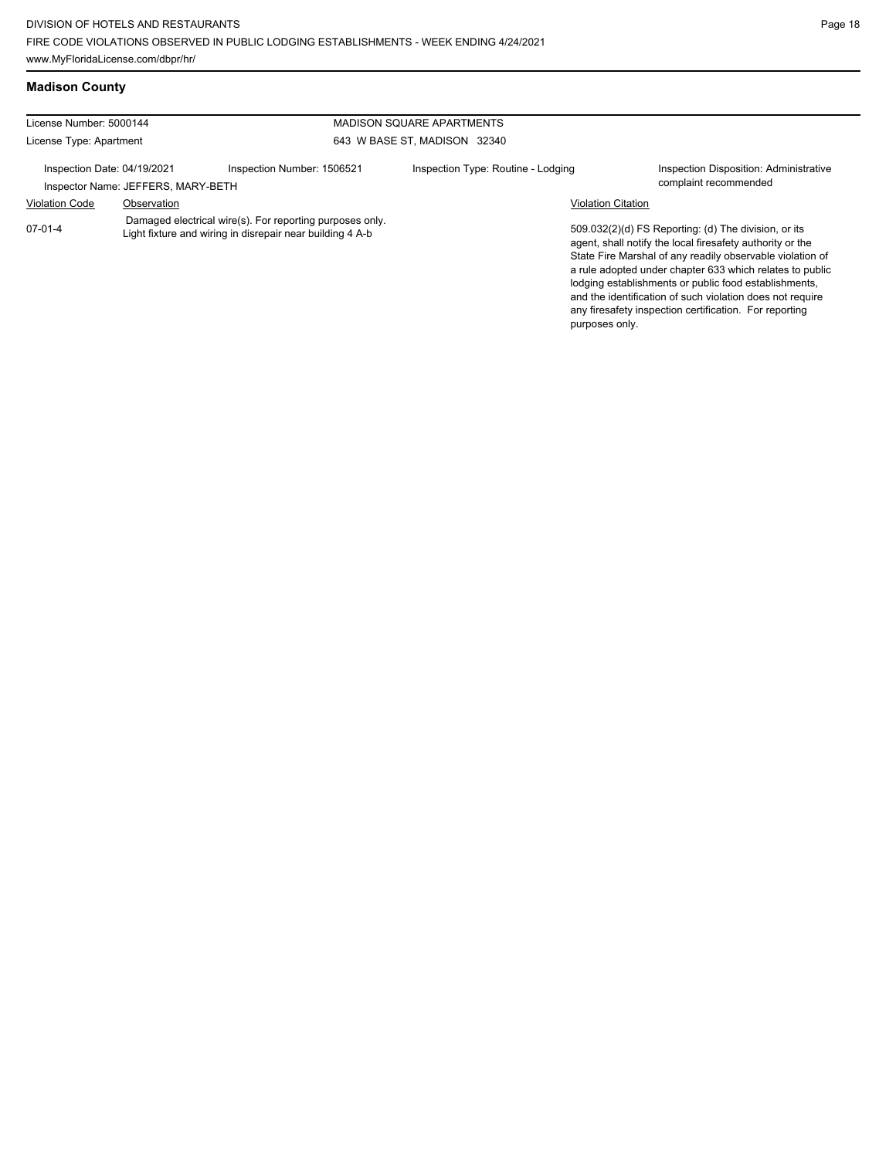## **Madison County**

| License Number: 5000144     |                                    | <b>MADISON SQUARE APARTMENTS</b>                                                                                      |                                    |                           |                                                                                                                                                                                                                                                                                                                                                                                                                            |
|-----------------------------|------------------------------------|-----------------------------------------------------------------------------------------------------------------------|------------------------------------|---------------------------|----------------------------------------------------------------------------------------------------------------------------------------------------------------------------------------------------------------------------------------------------------------------------------------------------------------------------------------------------------------------------------------------------------------------------|
| License Type: Apartment     |                                    |                                                                                                                       | 643 W BASE ST, MADISON 32340       |                           |                                                                                                                                                                                                                                                                                                                                                                                                                            |
| Inspection Date: 04/19/2021 | Inspector Name: JEFFERS, MARY-BETH | Inspection Number: 1506521                                                                                            | Inspection Type: Routine - Lodging |                           | Inspection Disposition: Administrative<br>complaint recommended                                                                                                                                                                                                                                                                                                                                                            |
| <b>Violation Code</b>       | Observation                        |                                                                                                                       |                                    | <b>Violation Citation</b> |                                                                                                                                                                                                                                                                                                                                                                                                                            |
| 07-01-4                     |                                    | Damaged electrical wire(s). For reporting purposes only.<br>Light fixture and wiring in disrepair near building 4 A-b |                                    | purposes only.            | 509.032(2)(d) FS Reporting: (d) The division, or its<br>agent, shall notify the local firesafety authority or the<br>State Fire Marshal of any readily observable violation of<br>a rule adopted under chapter 633 which relates to public<br>lodging establishments or public food establishments,<br>and the identification of such violation does not require<br>any firesafety inspection certification. For reporting |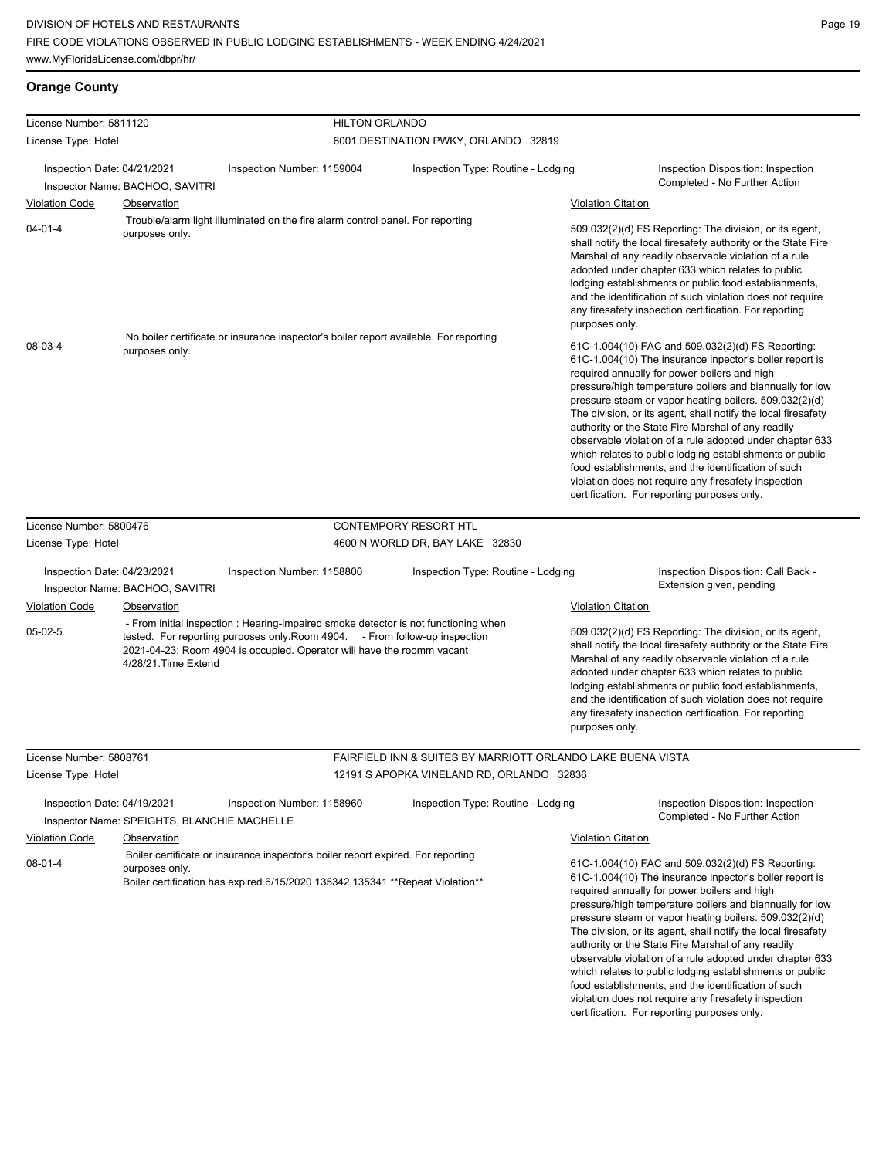# **Orange County**

| License Number: 5811120     |                                             | <b>HILTON ORLANDO</b>                                                                                                                                                                                                                       |                                                             |                                                                                                                                                                                                                                                                                                                                                                                                                                                                                                                                                                                                                                                                                                 |
|-----------------------------|---------------------------------------------|---------------------------------------------------------------------------------------------------------------------------------------------------------------------------------------------------------------------------------------------|-------------------------------------------------------------|-------------------------------------------------------------------------------------------------------------------------------------------------------------------------------------------------------------------------------------------------------------------------------------------------------------------------------------------------------------------------------------------------------------------------------------------------------------------------------------------------------------------------------------------------------------------------------------------------------------------------------------------------------------------------------------------------|
| License Type: Hotel         |                                             |                                                                                                                                                                                                                                             | 6001 DESTINATION PWKY, ORLANDO 32819                        |                                                                                                                                                                                                                                                                                                                                                                                                                                                                                                                                                                                                                                                                                                 |
| Inspection Date: 04/21/2021 | Inspector Name: BACHOO, SAVITRI             | Inspection Number: 1159004                                                                                                                                                                                                                  | Inspection Type: Routine - Lodging                          | Inspection Disposition: Inspection<br>Completed - No Further Action                                                                                                                                                                                                                                                                                                                                                                                                                                                                                                                                                                                                                             |
| <b>Violation Code</b>       | Observation                                 |                                                                                                                                                                                                                                             |                                                             | <b>Violation Citation</b>                                                                                                                                                                                                                                                                                                                                                                                                                                                                                                                                                                                                                                                                       |
| $04 - 01 - 4$               | purposes only.                              | Trouble/alarm light illuminated on the fire alarm control panel. For reporting                                                                                                                                                              |                                                             | 509.032(2)(d) FS Reporting: The division, or its agent,<br>shall notify the local firesafety authority or the State Fire<br>Marshal of any readily observable violation of a rule<br>adopted under chapter 633 which relates to public<br>lodging establishments or public food establishments,<br>and the identification of such violation does not require<br>any firesafety inspection certification. For reporting<br>purposes only.                                                                                                                                                                                                                                                        |
| 08-03-4                     | purposes only.                              | No boiler certificate or insurance inspector's boiler report available. For reporting                                                                                                                                                       |                                                             | 61C-1.004(10) FAC and 509.032(2)(d) FS Reporting:<br>61C-1.004(10) The insurance inpector's boiler report is<br>required annually for power boilers and high<br>pressure/high temperature boilers and biannually for low<br>pressure steam or vapor heating boilers. 509.032(2)(d)<br>The division, or its agent, shall notify the local firesafety<br>authority or the State Fire Marshal of any readily<br>observable violation of a rule adopted under chapter 633<br>which relates to public lodging establishments or public<br>food establishments, and the identification of such<br>violation does not require any firesafety inspection<br>certification. For reporting purposes only. |
| License Number: 5800476     |                                             |                                                                                                                                                                                                                                             | <b>CONTEMPORY RESORT HTL</b>                                |                                                                                                                                                                                                                                                                                                                                                                                                                                                                                                                                                                                                                                                                                                 |
| License Type: Hotel         |                                             |                                                                                                                                                                                                                                             | 4600 N WORLD DR, BAY LAKE 32830                             |                                                                                                                                                                                                                                                                                                                                                                                                                                                                                                                                                                                                                                                                                                 |
|                             |                                             |                                                                                                                                                                                                                                             |                                                             |                                                                                                                                                                                                                                                                                                                                                                                                                                                                                                                                                                                                                                                                                                 |
| Inspection Date: 04/23/2021 |                                             | Inspection Number: 1158800                                                                                                                                                                                                                  | Inspection Type: Routine - Lodging                          | Inspection Disposition: Call Back -                                                                                                                                                                                                                                                                                                                                                                                                                                                                                                                                                                                                                                                             |
|                             | Inspector Name: BACHOO, SAVITRI             |                                                                                                                                                                                                                                             |                                                             | Extension given, pending                                                                                                                                                                                                                                                                                                                                                                                                                                                                                                                                                                                                                                                                        |
| <b>Violation Code</b>       | Observation                                 |                                                                                                                                                                                                                                             |                                                             | <b>Violation Citation</b>                                                                                                                                                                                                                                                                                                                                                                                                                                                                                                                                                                                                                                                                       |
| 05-02-5                     | 4/28/21. Time Extend                        | - From initial inspection : Hearing-impaired smoke detector is not functioning when<br>tested. For reporting purposes only Room 4904. - From follow-up inspection<br>2021-04-23: Room 4904 is occupied. Operator will have the roomm vacant |                                                             | 509.032(2)(d) FS Reporting: The division, or its agent,<br>shall notify the local firesafety authority or the State Fire<br>Marshal of any readily observable violation of a rule<br>adopted under chapter 633 which relates to public<br>lodging establishments or public food establishments,<br>and the identification of such violation does not require<br>any firesafety inspection certification. For reporting<br>purposes only.                                                                                                                                                                                                                                                        |
| License Number: 5808761     |                                             |                                                                                                                                                                                                                                             | FAIRFIELD INN & SUITES BY MARRIOTT ORLANDO LAKE BUENA VISTA |                                                                                                                                                                                                                                                                                                                                                                                                                                                                                                                                                                                                                                                                                                 |
| License Type: Hotel         |                                             |                                                                                                                                                                                                                                             | 12191 S APOPKA VINELAND RD, ORLANDO 32836                   |                                                                                                                                                                                                                                                                                                                                                                                                                                                                                                                                                                                                                                                                                                 |
| Inspection Date: 04/19/2021 | Inspector Name: SPEIGHTS, BLANCHIE MACHELLE | Inspection Number: 1158960                                                                                                                                                                                                                  | Inspection Type: Routine - Lodging                          | Inspection Disposition: Inspection<br>Completed - No Further Action                                                                                                                                                                                                                                                                                                                                                                                                                                                                                                                                                                                                                             |
| <b>Violation Code</b>       | <b>Observation</b>                          | Boiler certificate or insurance inspector's boiler report expired. For reporting                                                                                                                                                            |                                                             | <b>Violation Citation</b>                                                                                                                                                                                                                                                                                                                                                                                                                                                                                                                                                                                                                                                                       |
| $08 - 01 - 4$               | purposes only.                              | Boiler certification has expired 6/15/2020 135342, 135341 ** Repeat Violation**                                                                                                                                                             |                                                             | 61C-1.004(10) FAC and 509.032(2)(d) FS Reporting:<br>61C-1.004(10) The insurance inpector's boiler report is<br>required annually for power boilers and high<br>pressure/high temperature boilers and biannually for low<br>pressure steam or vapor heating boilers. 509.032(2)(d)<br>The division, or its agent, shall notify the local firesafety<br>authority or the State Fire Marshal of any readily<br>observable violation of a rule adopted under chapter 633<br>which relates to public lodging establishments or public<br>food establishments, and the identification of such<br>violation does not require any firesafety inspection<br>certification. For reporting purposes only. |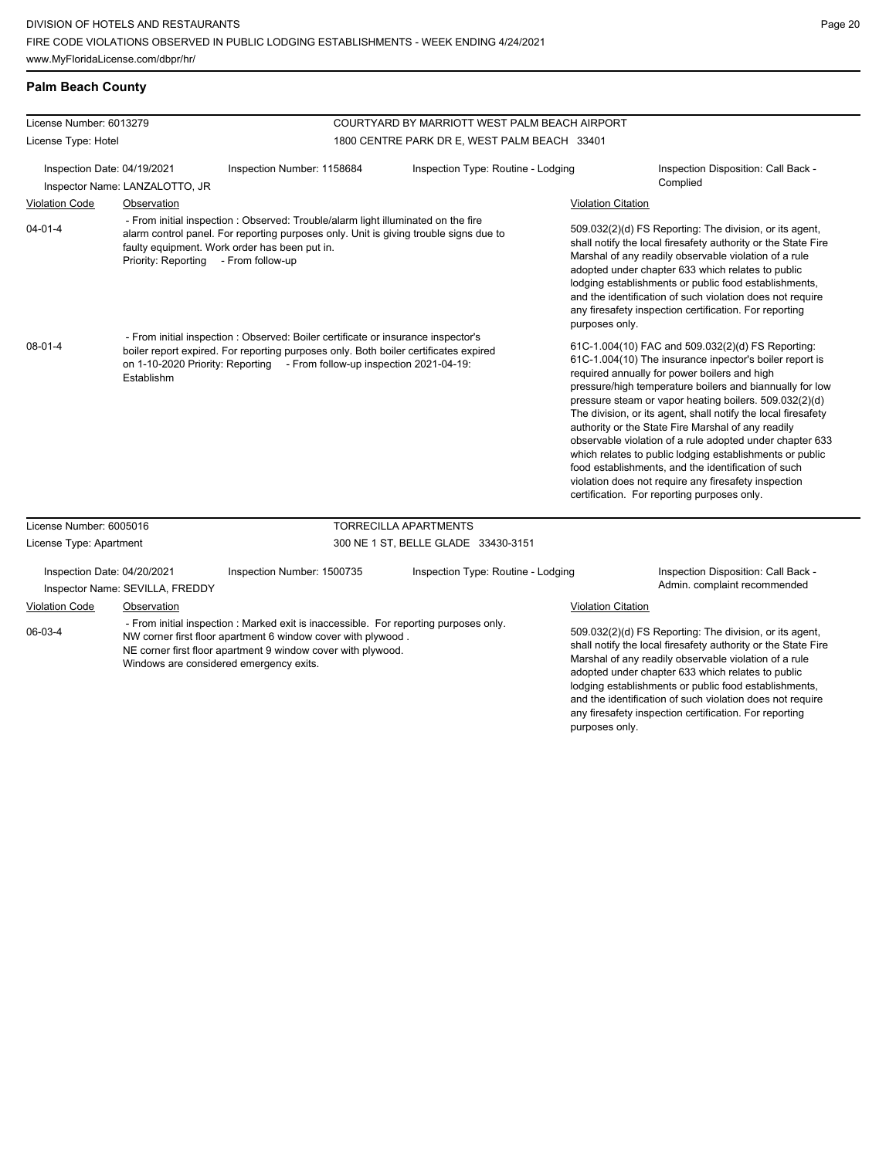## **Palm Beach County**

| License Number: 6013279                                                                                                                                                                                                                                                     |                                      | COURTYARD BY MARRIOTT WEST PALM BEACH AIRPORT                                                                                                                                                                                                         |                                              |                                                                                                                                                                                                                                                                                                                                                                                                                                          |                                                                                                                                                                                                                                                                                                                                                                                                                                                                                                                                                                                                                                                                                                 |  |
|-----------------------------------------------------------------------------------------------------------------------------------------------------------------------------------------------------------------------------------------------------------------------------|--------------------------------------|-------------------------------------------------------------------------------------------------------------------------------------------------------------------------------------------------------------------------------------------------------|----------------------------------------------|------------------------------------------------------------------------------------------------------------------------------------------------------------------------------------------------------------------------------------------------------------------------------------------------------------------------------------------------------------------------------------------------------------------------------------------|-------------------------------------------------------------------------------------------------------------------------------------------------------------------------------------------------------------------------------------------------------------------------------------------------------------------------------------------------------------------------------------------------------------------------------------------------------------------------------------------------------------------------------------------------------------------------------------------------------------------------------------------------------------------------------------------------|--|
| License Type: Hotel                                                                                                                                                                                                                                                         |                                      |                                                                                                                                                                                                                                                       | 1800 CENTRE PARK DR E, WEST PALM BEACH 33401 |                                                                                                                                                                                                                                                                                                                                                                                                                                          |                                                                                                                                                                                                                                                                                                                                                                                                                                                                                                                                                                                                                                                                                                 |  |
| Inspection Date: 04/19/2021                                                                                                                                                                                                                                                 |                                      | Inspection Number: 1158684                                                                                                                                                                                                                            | Inspection Type: Routine - Lodging           |                                                                                                                                                                                                                                                                                                                                                                                                                                          | Inspection Disposition: Call Back -<br>Complied                                                                                                                                                                                                                                                                                                                                                                                                                                                                                                                                                                                                                                                 |  |
|                                                                                                                                                                                                                                                                             | Inspector Name: LANZALOTTO, JR       |                                                                                                                                                                                                                                                       |                                              |                                                                                                                                                                                                                                                                                                                                                                                                                                          |                                                                                                                                                                                                                                                                                                                                                                                                                                                                                                                                                                                                                                                                                                 |  |
| <b>Violation Code</b>                                                                                                                                                                                                                                                       | Observation                          |                                                                                                                                                                                                                                                       |                                              | <b>Violation Citation</b>                                                                                                                                                                                                                                                                                                                                                                                                                |                                                                                                                                                                                                                                                                                                                                                                                                                                                                                                                                                                                                                                                                                                 |  |
| $04 - 01 - 4$                                                                                                                                                                                                                                                               | Priority: Reporting - From follow-up | - From initial inspection : Observed: Trouble/alarm light illuminated on the fire<br>alarm control panel. For reporting purposes only. Unit is giving trouble signs due to<br>faulty equipment. Work order has been put in.                           |                                              | purposes only.                                                                                                                                                                                                                                                                                                                                                                                                                           | 509.032(2)(d) FS Reporting: The division, or its agent,<br>shall notify the local firesafety authority or the State Fire<br>Marshal of any readily observable violation of a rule<br>adopted under chapter 633 which relates to public<br>lodging establishments or public food establishments,<br>and the identification of such violation does not require<br>any firesafety inspection certification. For reporting                                                                                                                                                                                                                                                                          |  |
| $08-01-4$                                                                                                                                                                                                                                                                   | Establishm                           | - From initial inspection : Observed: Boiler certificate or insurance inspector's<br>boiler report expired. For reporting purposes only. Both boiler certificates expired<br>on 1-10-2020 Priority: Reporting - From follow-up inspection 2021-04-19: |                                              |                                                                                                                                                                                                                                                                                                                                                                                                                                          | 61C-1.004(10) FAC and 509.032(2)(d) FS Reporting:<br>61C-1.004(10) The insurance inpector's boiler report is<br>required annually for power boilers and high<br>pressure/high temperature boilers and biannually for low<br>pressure steam or vapor heating boilers. 509.032(2)(d)<br>The division, or its agent, shall notify the local firesafety<br>authority or the State Fire Marshal of any readily<br>observable violation of a rule adopted under chapter 633<br>which relates to public lodging establishments or public<br>food establishments, and the identification of such<br>violation does not require any firesafety inspection<br>certification. For reporting purposes only. |  |
| License Number: 6005016                                                                                                                                                                                                                                                     |                                      |                                                                                                                                                                                                                                                       | <b>TORRECILLA APARTMENTS</b>                 |                                                                                                                                                                                                                                                                                                                                                                                                                                          |                                                                                                                                                                                                                                                                                                                                                                                                                                                                                                                                                                                                                                                                                                 |  |
| License Type: Apartment                                                                                                                                                                                                                                                     |                                      |                                                                                                                                                                                                                                                       | 300 NE 1 ST, BELLE GLADE 33430-3151          |                                                                                                                                                                                                                                                                                                                                                                                                                                          |                                                                                                                                                                                                                                                                                                                                                                                                                                                                                                                                                                                                                                                                                                 |  |
| Inspection Date: 04/20/2021                                                                                                                                                                                                                                                 | Inspector Name: SEVILLA, FREDDY      | Inspection Number: 1500735                                                                                                                                                                                                                            | Inspection Type: Routine - Lodging           |                                                                                                                                                                                                                                                                                                                                                                                                                                          | Inspection Disposition: Call Back -<br>Admin. complaint recommended                                                                                                                                                                                                                                                                                                                                                                                                                                                                                                                                                                                                                             |  |
| <b>Violation Code</b>                                                                                                                                                                                                                                                       | Observation                          |                                                                                                                                                                                                                                                       |                                              | <b>Violation Citation</b>                                                                                                                                                                                                                                                                                                                                                                                                                |                                                                                                                                                                                                                                                                                                                                                                                                                                                                                                                                                                                                                                                                                                 |  |
| - From initial inspection : Marked exit is inaccessible. For reporting purposes only.<br>06-03-4<br>NW corner first floor apartment 6 window cover with plywood.<br>NE corner first floor apartment 9 window cover with plywood.<br>Windows are considered emergency exits. |                                      |                                                                                                                                                                                                                                                       |                                              | 509.032(2)(d) FS Reporting: The division, or its agent,<br>shall notify the local firesafety authority or the State Fire<br>Marshal of any readily observable violation of a rule<br>adopted under chapter 633 which relates to public<br>lodging establishments or public food establishments,<br>and the identification of such violation does not require<br>any firesafety inspection certification. For reporting<br>purposes only. |                                                                                                                                                                                                                                                                                                                                                                                                                                                                                                                                                                                                                                                                                                 |  |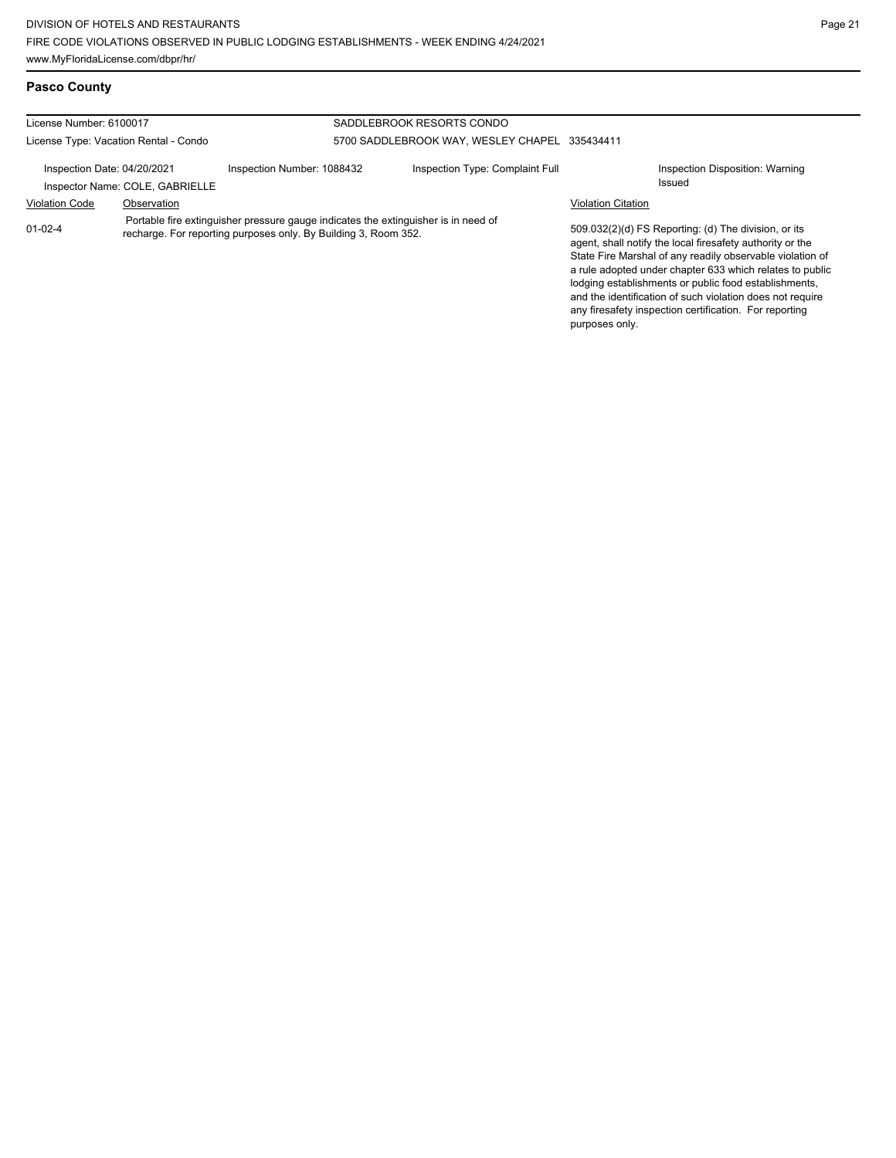## **Pasco County**

| License Number: 6100017               |                                 |                                                                                                                                                       | SADDLEBROOK RESORTS CONDO       |                           |                                                                                                                                                                                                                                                                                                                                                                                                                            |
|---------------------------------------|---------------------------------|-------------------------------------------------------------------------------------------------------------------------------------------------------|---------------------------------|---------------------------|----------------------------------------------------------------------------------------------------------------------------------------------------------------------------------------------------------------------------------------------------------------------------------------------------------------------------------------------------------------------------------------------------------------------------|
| License Type: Vacation Rental - Condo |                                 | 5700 SADDLEBROOK WAY, WESLEY CHAPEL 335434411                                                                                                         |                                 |                           |                                                                                                                                                                                                                                                                                                                                                                                                                            |
| Inspection Date: 04/20/2021           | Inspector Name: COLE, GABRIELLE | Inspection Number: 1088432                                                                                                                            | Inspection Type: Complaint Full |                           | Inspection Disposition: Warning<br>Issued                                                                                                                                                                                                                                                                                                                                                                                  |
| <b>Violation Code</b>                 | Observation                     |                                                                                                                                                       |                                 | <b>Violation Citation</b> |                                                                                                                                                                                                                                                                                                                                                                                                                            |
| $01 - 02 - 4$                         |                                 | Portable fire extinguisher pressure gauge indicates the extinguisher is in need of<br>recharge. For reporting purposes only. By Building 3, Room 352. |                                 |                           | 509.032(2)(d) FS Reporting: (d) The division, or its<br>agent, shall notify the local firesafety authority or the<br>State Fire Marshal of any readily observable violation of<br>a rule adopted under chapter 633 which relates to public<br>lodging establishments or public food establishments,<br>and the identification of such violation does not require<br>any firesafety inspection certification. For reporting |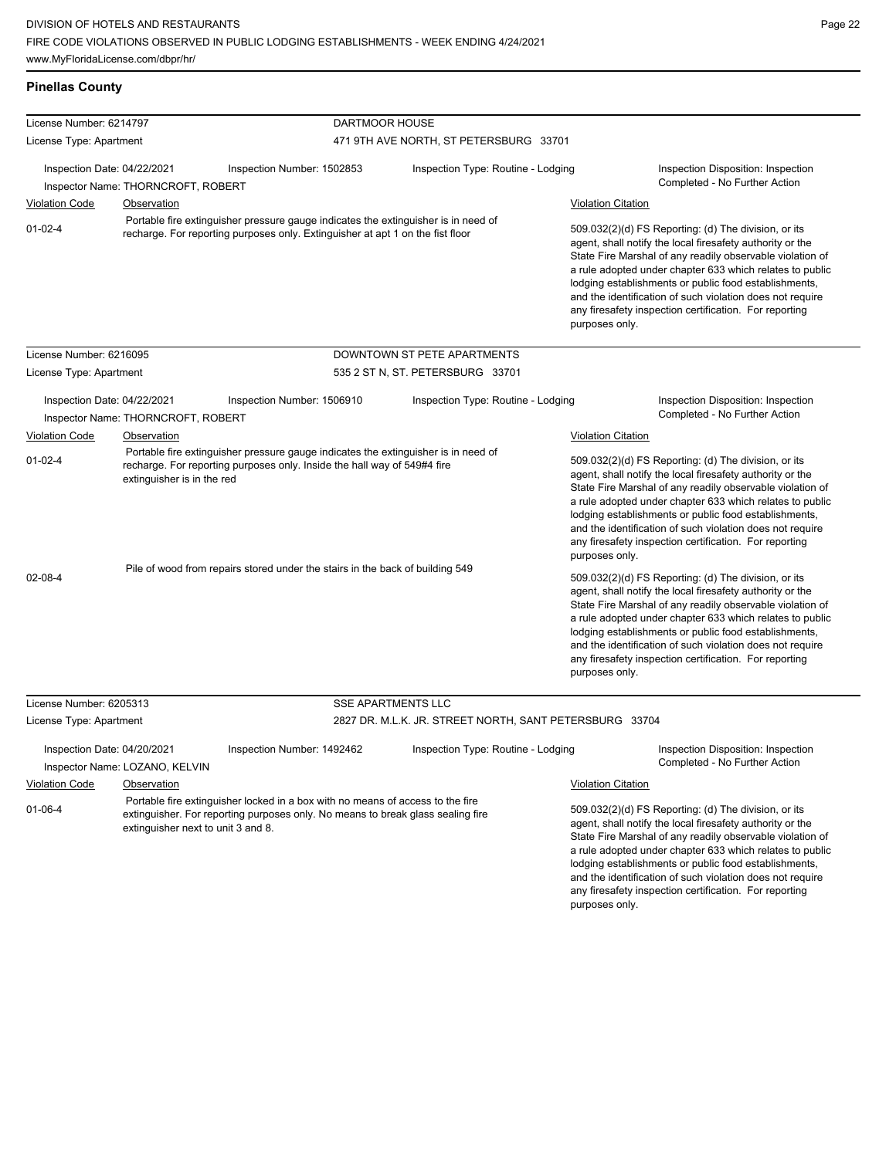**Pinellas County**

any firesafety inspection certification. For reporting

| License Number: 6214797     |                                    | DARTMOOR HOUSE                                                                                                                                                       |                                                         |                           |                                                                                                                                                                                                                                                                                                                                                                                                                            |
|-----------------------------|------------------------------------|----------------------------------------------------------------------------------------------------------------------------------------------------------------------|---------------------------------------------------------|---------------------------|----------------------------------------------------------------------------------------------------------------------------------------------------------------------------------------------------------------------------------------------------------------------------------------------------------------------------------------------------------------------------------------------------------------------------|
| License Type: Apartment     |                                    |                                                                                                                                                                      | 471 9TH AVE NORTH, ST PETERSBURG 33701                  |                           |                                                                                                                                                                                                                                                                                                                                                                                                                            |
| Inspection Date: 04/22/2021 | Inspector Name: THORNCROFT, ROBERT | Inspection Number: 1502853                                                                                                                                           | Inspection Type: Routine - Lodging                      |                           | Inspection Disposition: Inspection<br>Completed - No Further Action                                                                                                                                                                                                                                                                                                                                                        |
| <b>Violation Code</b>       | <b>Observation</b>                 |                                                                                                                                                                      |                                                         | <b>Violation Citation</b> |                                                                                                                                                                                                                                                                                                                                                                                                                            |
| $01 - 02 - 4$               |                                    | Portable fire extinguisher pressure gauge indicates the extinguisher is in need of<br>recharge. For reporting purposes only. Extinguisher at apt 1 on the fist floor |                                                         | purposes only.            | 509.032(2)(d) FS Reporting: (d) The division, or its<br>agent, shall notify the local firesafety authority or the<br>State Fire Marshal of any readily observable violation of<br>a rule adopted under chapter 633 which relates to public<br>lodging establishments or public food establishments,<br>and the identification of such violation does not require<br>any firesafety inspection certification. For reporting |
| License Number: 6216095     |                                    |                                                                                                                                                                      | DOWNTOWN ST PETE APARTMENTS                             |                           |                                                                                                                                                                                                                                                                                                                                                                                                                            |
| License Type: Apartment     |                                    |                                                                                                                                                                      | 535 2 ST N, ST. PETERSBURG 33701                        |                           |                                                                                                                                                                                                                                                                                                                                                                                                                            |
| Inspection Date: 04/22/2021 | Inspector Name: THORNCROFT, ROBERT | Inspection Number: 1506910                                                                                                                                           | Inspection Type: Routine - Lodging                      |                           | Inspection Disposition: Inspection<br>Completed - No Further Action                                                                                                                                                                                                                                                                                                                                                        |
| <b>Violation Code</b>       | Observation                        |                                                                                                                                                                      |                                                         | <b>Violation Citation</b> |                                                                                                                                                                                                                                                                                                                                                                                                                            |
| $01 - 02 - 4$               | extinguisher is in the red         | Portable fire extinguisher pressure gauge indicates the extinguisher is in need of<br>recharge. For reporting purposes only. Inside the hall way of 549#4 fire       |                                                         | purposes only.            | 509.032(2)(d) FS Reporting: (d) The division, or its<br>agent, shall notify the local firesafety authority or the<br>State Fire Marshal of any readily observable violation of<br>a rule adopted under chapter 633 which relates to public<br>lodging establishments or public food establishments,<br>and the identification of such violation does not require<br>any firesafety inspection certification. For reporting |
| 02-08-4                     |                                    | Pile of wood from repairs stored under the stairs in the back of building 549                                                                                        |                                                         | purposes only.            | 509.032(2)(d) FS Reporting: (d) The division, or its<br>agent, shall notify the local firesafety authority or the<br>State Fire Marshal of any readily observable violation of<br>a rule adopted under chapter 633 which relates to public<br>lodging establishments or public food establishments,<br>and the identification of such violation does not require<br>any firesafety inspection certification. For reporting |
| License Number: 6205313     |                                    | <b>SSE APARTMENTS LLC</b>                                                                                                                                            |                                                         |                           |                                                                                                                                                                                                                                                                                                                                                                                                                            |
| License Type: Apartment     |                                    |                                                                                                                                                                      | 2827 DR. M.L.K. JR. STREET NORTH, SANT PETERSBURG 33704 |                           |                                                                                                                                                                                                                                                                                                                                                                                                                            |
| Inspection Date: 04/20/2021 | Inspector Name: LOZANO, KELVIN     | Inspection Number: 1492462                                                                                                                                           | Inspection Type: Routine - Lodging                      |                           | Inspection Disposition: Inspection<br>Completed - No Further Action                                                                                                                                                                                                                                                                                                                                                        |
| <b>Violation Code</b>       | Observation                        |                                                                                                                                                                      |                                                         | <b>Violation Citation</b> |                                                                                                                                                                                                                                                                                                                                                                                                                            |
| $01-06-4$                   | extinguisher next to unit 3 and 8. | Portable fire extinguisher locked in a box with no means of access to the fire<br>extinguisher. For reporting purposes only. No means to break glass sealing fire    |                                                         |                           | 509.032(2)(d) FS Reporting: (d) The division, or its<br>agent, shall notify the local firesafety authority or the<br>State Fire Marshal of any readily observable violation of<br>a rule adopted under chapter 633 which relates to public<br>lodging establishments or public food establishments,<br>and the identification of such violation does not require                                                           |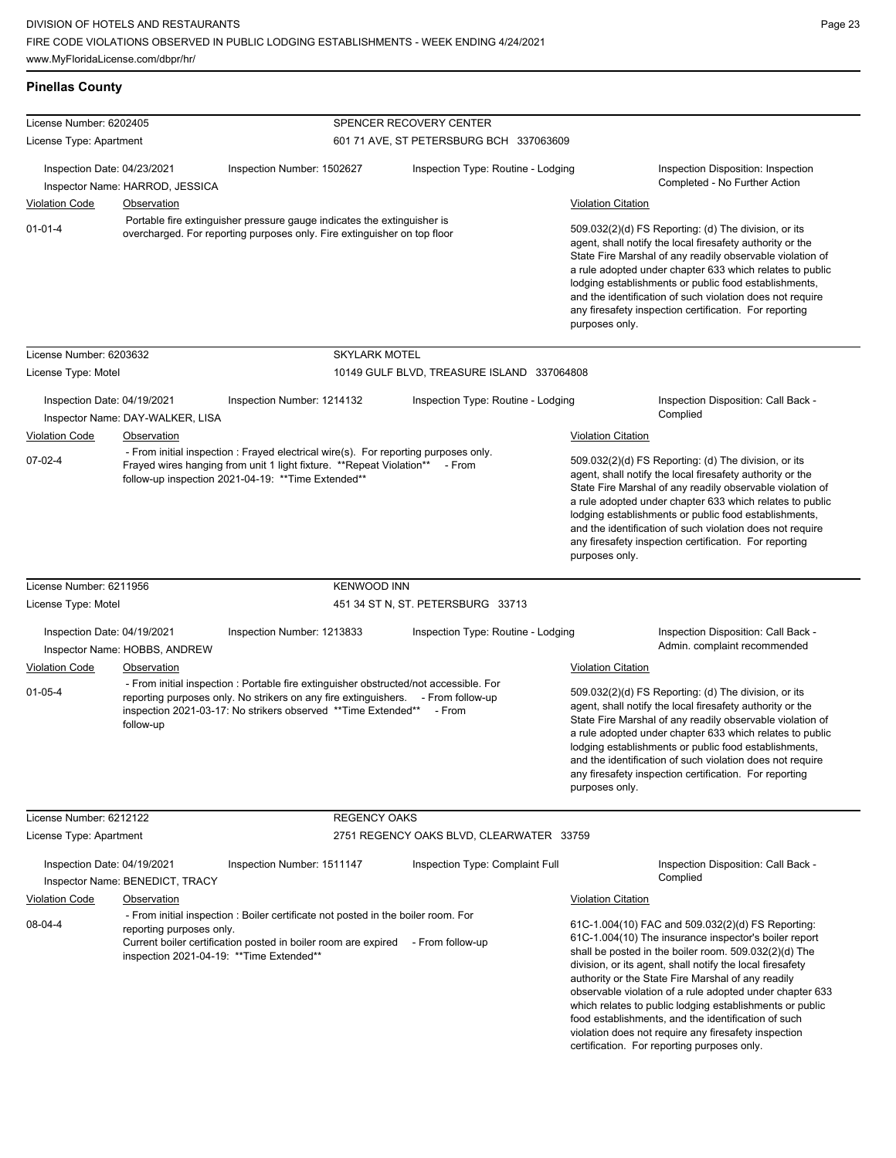| <b>Pinellas County</b>                                                                                                                                                                     |                                  |                                                                                                                                                                                                                                                      |                                            |                                                                                                                                                                                                                                                                                                                                                                                                                                              |                                                                                                                                                                                                                                                                                                                                                                                                                                                                                                                               |                                                                     |
|--------------------------------------------------------------------------------------------------------------------------------------------------------------------------------------------|----------------------------------|------------------------------------------------------------------------------------------------------------------------------------------------------------------------------------------------------------------------------------------------------|--------------------------------------------|----------------------------------------------------------------------------------------------------------------------------------------------------------------------------------------------------------------------------------------------------------------------------------------------------------------------------------------------------------------------------------------------------------------------------------------------|-------------------------------------------------------------------------------------------------------------------------------------------------------------------------------------------------------------------------------------------------------------------------------------------------------------------------------------------------------------------------------------------------------------------------------------------------------------------------------------------------------------------------------|---------------------------------------------------------------------|
| License Number: 6202405                                                                                                                                                                    |                                  |                                                                                                                                                                                                                                                      | SPENCER RECOVERY CENTER                    |                                                                                                                                                                                                                                                                                                                                                                                                                                              |                                                                                                                                                                                                                                                                                                                                                                                                                                                                                                                               |                                                                     |
| License Type: Apartment                                                                                                                                                                    |                                  |                                                                                                                                                                                                                                                      | 601 71 AVE, ST PETERSBURG BCH 337063609    |                                                                                                                                                                                                                                                                                                                                                                                                                                              |                                                                                                                                                                                                                                                                                                                                                                                                                                                                                                                               |                                                                     |
| Inspection Date: 04/23/2021<br>Inspector Name: HARROD, JESSICA<br><b>Violation Code</b>                                                                                                    |                                  | Inspection Number: 1502627                                                                                                                                                                                                                           | Inspection Type: Routine - Lodging         |                                                                                                                                                                                                                                                                                                                                                                                                                                              |                                                                                                                                                                                                                                                                                                                                                                                                                                                                                                                               | Inspection Disposition: Inspection<br>Completed - No Further Action |
|                                                                                                                                                                                            |                                  |                                                                                                                                                                                                                                                      |                                            |                                                                                                                                                                                                                                                                                                                                                                                                                                              | <b>Violation Citation</b>                                                                                                                                                                                                                                                                                                                                                                                                                                                                                                     |                                                                     |
| <b>Observation</b><br>Portable fire extinguisher pressure gauge indicates the extinguisher is<br>$01 - 01 - 4$<br>overcharged. For reporting purposes only. Fire extinguisher on top floor |                                  |                                                                                                                                                                                                                                                      |                                            |                                                                                                                                                                                                                                                                                                                                                                                                                                              |                                                                                                                                                                                                                                                                                                                                                                                                                                                                                                                               |                                                                     |
|                                                                                                                                                                                            |                                  |                                                                                                                                                                                                                                                      |                                            | 509.032(2)(d) FS Reporting: (d) The division, or its<br>agent, shall notify the local firesafety authority or the<br>State Fire Marshal of any readily observable violation of<br>a rule adopted under chapter 633 which relates to public<br>lodging establishments or public food establishments,<br>and the identification of such violation does not require<br>any firesafety inspection certification. For reporting<br>purposes only. |                                                                                                                                                                                                                                                                                                                                                                                                                                                                                                                               |                                                                     |
| License Number: 6203632                                                                                                                                                                    |                                  | <b>SKYLARK MOTEL</b>                                                                                                                                                                                                                                 |                                            |                                                                                                                                                                                                                                                                                                                                                                                                                                              |                                                                                                                                                                                                                                                                                                                                                                                                                                                                                                                               |                                                                     |
| License Type: Motel                                                                                                                                                                        |                                  |                                                                                                                                                                                                                                                      | 10149 GULF BLVD, TREASURE ISLAND 337064808 |                                                                                                                                                                                                                                                                                                                                                                                                                                              |                                                                                                                                                                                                                                                                                                                                                                                                                                                                                                                               |                                                                     |
| Inspection Date: 04/19/2021                                                                                                                                                                | Inspector Name: DAY-WALKER, LISA | Inspection Type: Routine - Lodging<br>Inspection Number: 1214132                                                                                                                                                                                     |                                            |                                                                                                                                                                                                                                                                                                                                                                                                                                              | Complied                                                                                                                                                                                                                                                                                                                                                                                                                                                                                                                      | Inspection Disposition: Call Back -                                 |
| Violation Code                                                                                                                                                                             | Observation                      |                                                                                                                                                                                                                                                      |                                            |                                                                                                                                                                                                                                                                                                                                                                                                                                              | <b>Violation Citation</b>                                                                                                                                                                                                                                                                                                                                                                                                                                                                                                     |                                                                     |
| $07 - 02 - 4$                                                                                                                                                                              |                                  | - From initial inspection : Frayed electrical wire(s). For reporting purposes only.<br>Frayed wires hanging from unit 1 light fixture. ** Repeat Violation** - From<br>follow-up inspection 2021-04-19: ** Time Extended**                           |                                            | 509.032(2)(d) FS Reporting: (d) The division, or its<br>agent, shall notify the local firesafety authority or the<br>State Fire Marshal of any readily observable violation of<br>a rule adopted under chapter 633 which relates to public<br>lodging establishments or public food establishments,<br>and the identification of such violation does not require<br>any firesafety inspection certification. For reporting<br>purposes only. |                                                                                                                                                                                                                                                                                                                                                                                                                                                                                                                               |                                                                     |
| License Number: 6211956                                                                                                                                                                    |                                  | <b>KENWOOD INN</b>                                                                                                                                                                                                                                   |                                            |                                                                                                                                                                                                                                                                                                                                                                                                                                              |                                                                                                                                                                                                                                                                                                                                                                                                                                                                                                                               |                                                                     |
| License Type: Motel                                                                                                                                                                        |                                  |                                                                                                                                                                                                                                                      | 451 34 ST N, ST. PETERSBURG 33713          |                                                                                                                                                                                                                                                                                                                                                                                                                                              |                                                                                                                                                                                                                                                                                                                                                                                                                                                                                                                               |                                                                     |
| Inspection Date: 04/19/2021                                                                                                                                                                |                                  | Inspection Number: 1213833                                                                                                                                                                                                                           | Inspection Type: Routine - Lodging         |                                                                                                                                                                                                                                                                                                                                                                                                                                              |                                                                                                                                                                                                                                                                                                                                                                                                                                                                                                                               | Inspection Disposition: Call Back -                                 |
|                                                                                                                                                                                            | Inspector Name: HOBBS, ANDREW    |                                                                                                                                                                                                                                                      |                                            |                                                                                                                                                                                                                                                                                                                                                                                                                                              |                                                                                                                                                                                                                                                                                                                                                                                                                                                                                                                               | Admin. complaint recommended                                        |
| <b>Violation Code</b>                                                                                                                                                                      | Observation                      |                                                                                                                                                                                                                                                      |                                            |                                                                                                                                                                                                                                                                                                                                                                                                                                              | <b>Violation Citation</b>                                                                                                                                                                                                                                                                                                                                                                                                                                                                                                     |                                                                     |
| $01 - 05 - 4$                                                                                                                                                                              | follow-up                        | - From initial inspection : Portable fire extinguisher obstructed/not accessible. For<br>reporting purposes only. No strikers on any fire extinguishers. - From follow-up<br>inspection 2021-03-17: No strikers observed **Time Extended**<br>- From |                                            |                                                                                                                                                                                                                                                                                                                                                                                                                                              | 509.032(2)(d) FS Reporting: (d) The division, or its<br>agent, shall notify the local firesafety authority or the<br>State Fire Marshal of any readily observable violation of<br>a rule adopted under chapter 633 which relates to public<br>lodging establishments or public food establishments,<br>and the identification of such violation does not require<br>any firesafety inspection certification. For reporting<br>purposes only.                                                                                  |                                                                     |
| License Number: 6212122                                                                                                                                                                    |                                  | <b>REGENCY OAKS</b>                                                                                                                                                                                                                                  |                                            |                                                                                                                                                                                                                                                                                                                                                                                                                                              |                                                                                                                                                                                                                                                                                                                                                                                                                                                                                                                               |                                                                     |
| License Type: Apartment                                                                                                                                                                    |                                  |                                                                                                                                                                                                                                                      | 2751 REGENCY OAKS BLVD, CLEARWATER 33759   |                                                                                                                                                                                                                                                                                                                                                                                                                                              |                                                                                                                                                                                                                                                                                                                                                                                                                                                                                                                               |                                                                     |
| Inspection Date: 04/19/2021                                                                                                                                                                | Inspector Name: BENEDICT, TRACY  | Inspection Number: 1511147                                                                                                                                                                                                                           | Inspection Type: Complaint Full            |                                                                                                                                                                                                                                                                                                                                                                                                                                              | Complied                                                                                                                                                                                                                                                                                                                                                                                                                                                                                                                      | Inspection Disposition: Call Back -                                 |
| <b>Violation Code</b>                                                                                                                                                                      | Observation                      |                                                                                                                                                                                                                                                      |                                            |                                                                                                                                                                                                                                                                                                                                                                                                                                              | <b>Violation Citation</b>                                                                                                                                                                                                                                                                                                                                                                                                                                                                                                     |                                                                     |
| 08-04-4<br>reporting purposes only.<br>inspection 2021-04-19: ** Time Extended**                                                                                                           |                                  | - From initial inspection : Boiler certificate not posted in the boiler room. For<br>Current boiler certification posted in boiler room are expired<br>- From follow-up                                                                              |                                            |                                                                                                                                                                                                                                                                                                                                                                                                                                              | 61C-1.004(10) FAC and 509.032(2)(d) FS Reporting:<br>61C-1.004(10) The insurance inspector's boiler report<br>shall be posted in the boiler room. 509.032(2)(d) The<br>division, or its agent, shall notify the local firesafety<br>authority or the State Fire Marshal of any readily<br>observable violation of a rule adopted under chapter 633<br>which relates to public lodging establishments or public<br>food establishments, and the identification of such<br>violation does not require any firesafety inspection |                                                                     |

certification. For reporting purposes only.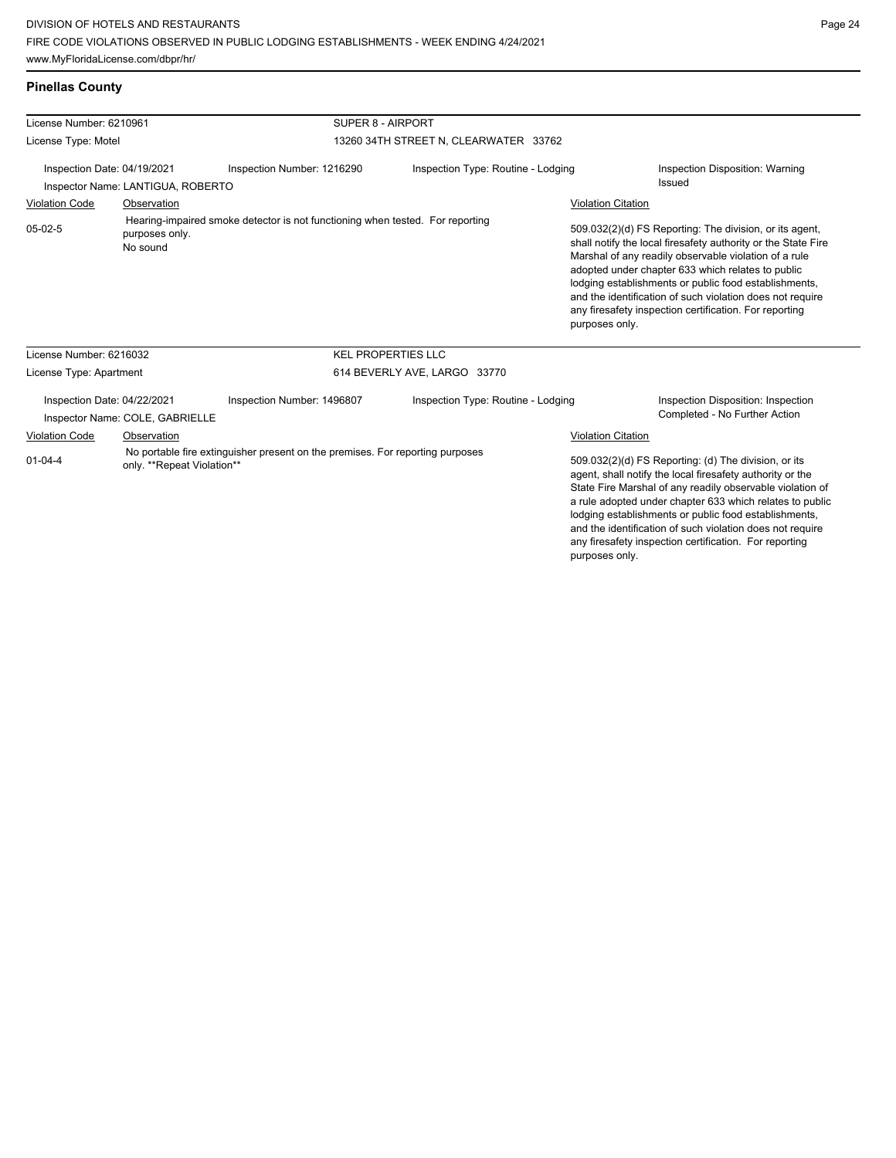purposes only.

Page 24

| License Number: 6210961<br>License Type: Motel<br>Inspection Date: 04/19/2021<br>Inspector Name: LANTIGUA, ROBERTO           |                            | SUPER 8 - AIRPORT                                                             |                                    |                           |                                                                                                                                                                                                                                                                                                                                                                                                                            |
|------------------------------------------------------------------------------------------------------------------------------|----------------------------|-------------------------------------------------------------------------------|------------------------------------|---------------------------|----------------------------------------------------------------------------------------------------------------------------------------------------------------------------------------------------------------------------------------------------------------------------------------------------------------------------------------------------------------------------------------------------------------------------|
|                                                                                                                              |                            | 13260 34TH STREET N, CLEARWATER 33762                                         |                                    |                           |                                                                                                                                                                                                                                                                                                                                                                                                                            |
|                                                                                                                              |                            | Inspection Number: 1216290                                                    | Inspection Type: Routine - Lodging |                           | Inspection Disposition: Warning                                                                                                                                                                                                                                                                                                                                                                                            |
|                                                                                                                              |                            |                                                                               |                                    |                           | Issued                                                                                                                                                                                                                                                                                                                                                                                                                     |
| <b>Violation Code</b>                                                                                                        | Observation                |                                                                               |                                    | <b>Violation Citation</b> |                                                                                                                                                                                                                                                                                                                                                                                                                            |
| $05-02-5$                                                                                                                    | purposes only.<br>No sound | Hearing-impaired smoke detector is not functioning when tested. For reporting |                                    | purposes only.            | 509.032(2)(d) FS Reporting: The division, or its agent,<br>shall notify the local firesafety authority or the State Fire<br>Marshal of any readily observable violation of a rule<br>adopted under chapter 633 which relates to public<br>lodging establishments or public food establishments,<br>and the identification of such violation does not require<br>any firesafety inspection certification. For reporting     |
| License Number: 6216032                                                                                                      |                            |                                                                               | <b>KEL PROPERTIES LLC</b>          |                           |                                                                                                                                                                                                                                                                                                                                                                                                                            |
| License Type: Apartment                                                                                                      |                            |                                                                               | 614 BEVERLY AVE, LARGO 33770       |                           |                                                                                                                                                                                                                                                                                                                                                                                                                            |
| Inspection Date: 04/22/2021<br>Inspector Name: COLE, GABRIELLE                                                               |                            | Inspection Number: 1496807                                                    | Inspection Type: Routine - Lodging |                           | Inspection Disposition: Inspection<br>Completed - No Further Action                                                                                                                                                                                                                                                                                                                                                        |
| Violation Code                                                                                                               | Observation                |                                                                               |                                    | <b>Violation Citation</b> |                                                                                                                                                                                                                                                                                                                                                                                                                            |
| No portable fire extinguisher present on the premises. For reporting purposes<br>$01 - 04 - 4$<br>only. **Repeat Violation** |                            |                                                                               |                                    |                           | 509.032(2)(d) FS Reporting: (d) The division, or its<br>agent, shall notify the local firesafety authority or the<br>State Fire Marshal of any readily observable violation of<br>a rule adopted under chapter 633 which relates to public<br>lodging establishments or public food establishments,<br>and the identification of such violation does not require<br>any firesafety inspection certification. For reporting |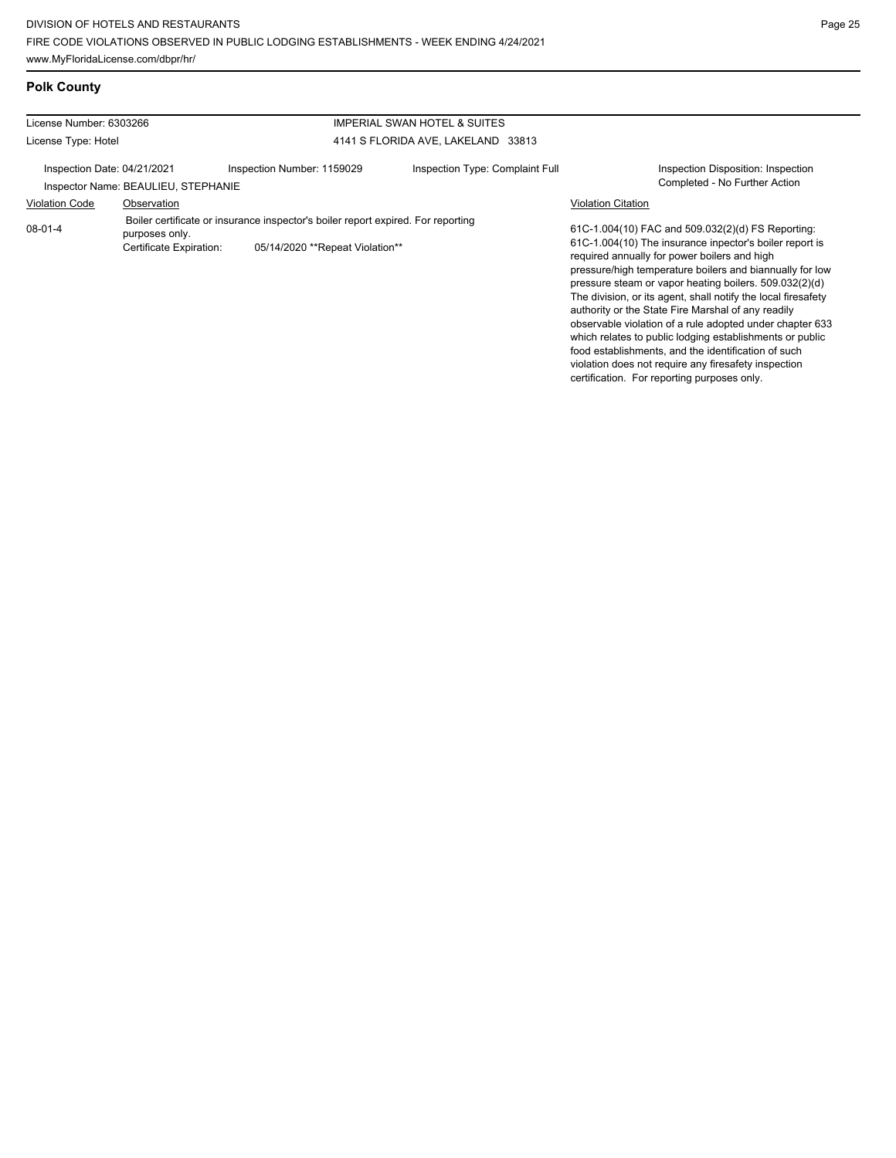certification. For reporting purposes only.

## **Polk County**

| License Number: 6303266     |                                                                                                                                                                  | <b>IMPERIAL SWAN HOTEL &amp; SUITES</b> |                                    |                                                                                                                                                                                                                                                                                                                                                                                                                                                                                                                                                                                                                                                  |
|-----------------------------|------------------------------------------------------------------------------------------------------------------------------------------------------------------|-----------------------------------------|------------------------------------|--------------------------------------------------------------------------------------------------------------------------------------------------------------------------------------------------------------------------------------------------------------------------------------------------------------------------------------------------------------------------------------------------------------------------------------------------------------------------------------------------------------------------------------------------------------------------------------------------------------------------------------------------|
| License Type: Hotel         |                                                                                                                                                                  |                                         | 4141 S FLORIDA AVE, LAKELAND 33813 |                                                                                                                                                                                                                                                                                                                                                                                                                                                                                                                                                                                                                                                  |
| Inspection Date: 04/21/2021 | Inspector Name: BEAULIEU, STEPHANIE                                                                                                                              | Inspection Number: 1159029              | Inspection Type: Complaint Full    | Inspection Disposition: Inspection<br>Completed - No Further Action                                                                                                                                                                                                                                                                                                                                                                                                                                                                                                                                                                              |
| <b>Violation Code</b>       | Observation                                                                                                                                                      |                                         |                                    | <b>Violation Citation</b>                                                                                                                                                                                                                                                                                                                                                                                                                                                                                                                                                                                                                        |
| $08 - 01 - 4$               | Boiler certificate or insurance inspector's boiler report expired. For reporting<br>purposes only.<br>Certificate Expiration:<br>05/14/2020 **Repeat Violation** |                                         |                                    | 61C-1.004(10) FAC and 509.032(2)(d) FS Reporting:<br>61C-1.004(10) The insurance inpector's boiler report is<br>required annually for power boilers and high<br>pressure/high temperature boilers and biannually for low<br>pressure steam or vapor heating boilers. 509.032(2)(d)<br>The division, or its agent, shall notify the local firesafety<br>authority or the State Fire Marshal of any readily<br>observable violation of a rule adopted under chapter 633<br>which relates to public lodging establishments or public<br>food establishments, and the identification of such<br>violation does not require any firesafety inspection |